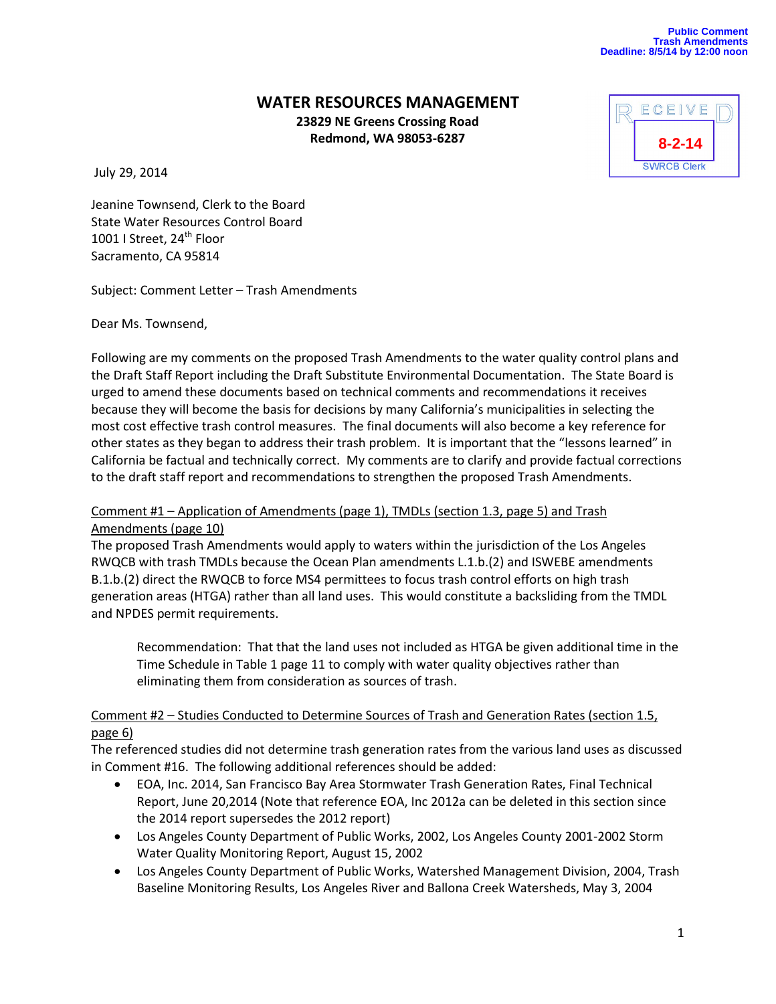# **WATER RESOURCES MANAGEMENT**

**23829 NE Greens Crossing Road Redmond, WA 98053-6287**

July 29, 2014



Jeanine Townsend, Clerk to the Board State Water Resources Control Board 1001 | Street, 24<sup>th</sup> Floor Sacramento, CA 95814

Subject: Comment Letter – Trash Amendments

Dear Ms. Townsend,

Following are my comments on the proposed Trash Amendments to the water quality control plans and the Draft Staff Report including the Draft Substitute Environmental Documentation. The State Board is urged to amend these documents based on technical comments and recommendations it receives because they will become the basis for decisions by many California's municipalities in selecting the most cost effective trash control measures. The final documents will also become a key reference for other states as they began to address their trash problem. It is important that the "lessons learned" in California be factual and technically correct. My comments are to clarify and provide factual corrections to the draft staff report and recommendations to strengthen the proposed Trash Amendments.

### Comment #1 – Application of Amendments (page 1), TMDLs (section 1.3, page 5) and Trash Amendments (page 10)

The proposed Trash Amendments would apply to waters within the jurisdiction of the Los Angeles RWQCB with trash TMDLs because the Ocean Plan amendments L.1.b.(2) and ISWEBE amendments B.1.b.(2) direct the RWQCB to force MS4 permittees to focus trash control efforts on high trash generation areas (HTGA) rather than all land uses. This would constitute a backsliding from the TMDL and NPDES permit requirements.

Recommendation: That that the land uses not included as HTGA be given additional time in the Time Schedule in Table 1 page 11 to comply with water quality objectives rather than eliminating them from consideration as sources of trash.

# Comment #2 – Studies Conducted to Determine Sources of Trash and Generation Rates (section 1.5, page 6)

The referenced studies did not determine trash generation rates from the various land uses as discussed in Comment #16. The following additional references should be added:

- EOA, Inc. 2014, San Francisco Bay Area Stormwater Trash Generation Rates, Final Technical Report, June 20,2014 (Note that reference EOA, Inc 2012a can be deleted in this section since the 2014 report supersedes the 2012 report)
- Los Angeles County Department of Public Works, 2002, Los Angeles County 2001-2002 Storm Water Quality Monitoring Report, August 15, 2002
- Los Angeles County Department of Public Works, Watershed Management Division, 2004, Trash Baseline Monitoring Results, Los Angeles River and Ballona Creek Watersheds, May 3, 2004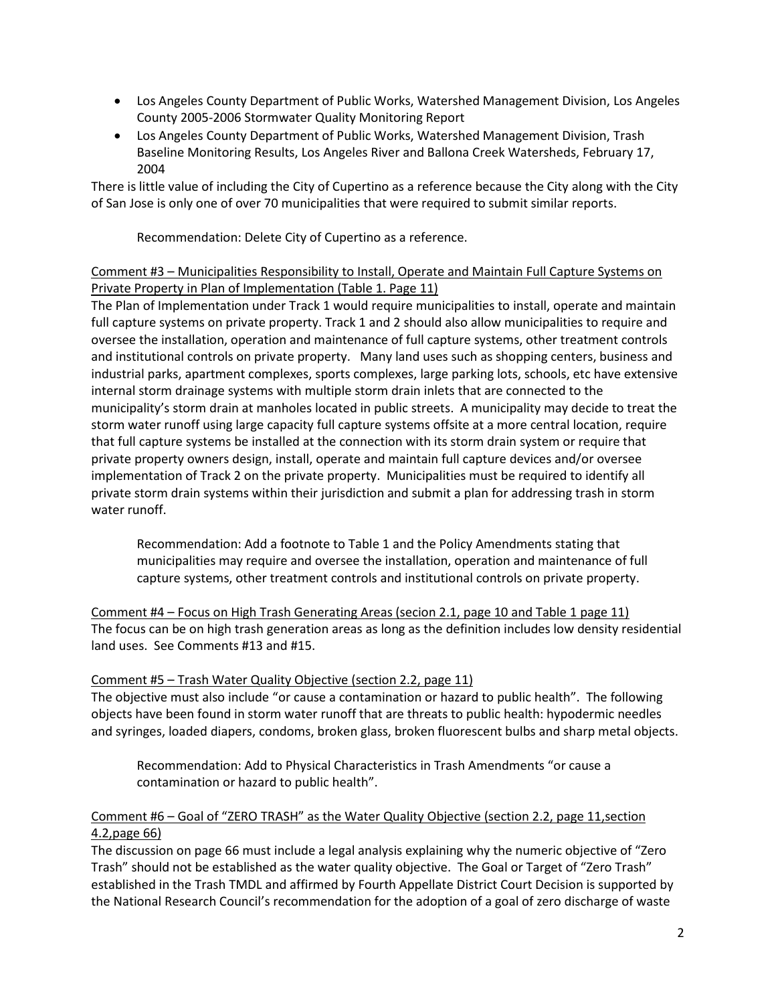- Los Angeles County Department of Public Works, Watershed Management Division, Los Angeles County 2005-2006 Stormwater Quality Monitoring Report
- Los Angeles County Department of Public Works, Watershed Management Division, Trash Baseline Monitoring Results, Los Angeles River and Ballona Creek Watersheds, February 17, 2004

There is little value of including the City of Cupertino as a reference because the City along with the City of San Jose is only one of over 70 municipalities that were required to submit similar reports.

Recommendation: Delete City of Cupertino as a reference.

### Comment #3 – Municipalities Responsibility to Install, Operate and Maintain Full Capture Systems on Private Property in Plan of Implementation (Table 1. Page 11)

The Plan of Implementation under Track 1 would require municipalities to install, operate and maintain full capture systems on private property. Track 1 and 2 should also allow municipalities to require and oversee the installation, operation and maintenance of full capture systems, other treatment controls and institutional controls on private property. Many land uses such as shopping centers, business and industrial parks, apartment complexes, sports complexes, large parking lots, schools, etc have extensive internal storm drainage systems with multiple storm drain inlets that are connected to the municipality's storm drain at manholes located in public streets. A municipality may decide to treat the storm water runoff using large capacity full capture systems offsite at a more central location, require that full capture systems be installed at the connection with its storm drain system or require that private property owners design, install, operate and maintain full capture devices and/or oversee implementation of Track 2 on the private property. Municipalities must be required to identify all private storm drain systems within their jurisdiction and submit a plan for addressing trash in storm water runoff.

Recommendation: Add a footnote to Table 1 and the Policy Amendments stating that municipalities may require and oversee the installation, operation and maintenance of full capture systems, other treatment controls and institutional controls on private property.

Comment #4 – Focus on High Trash Generating Areas (secion 2.1, page 10 and Table 1 page 11) The focus can be on high trash generation areas as long as the definition includes low density residential land uses. See Comments #13 and #15.

# Comment #5 – Trash Water Quality Objective (section 2.2, page 11)

The objective must also include "or cause a contamination or hazard to public health". The following objects have been found in storm water runoff that are threats to public health: hypodermic needles and syringes, loaded diapers, condoms, broken glass, broken fluorescent bulbs and sharp metal objects.

Recommendation: Add to Physical Characteristics in Trash Amendments "or cause a contamination or hazard to public health".

# Comment #6 – Goal of "ZERO TRASH" as the Water Quality Objective (section 2.2, page 11,section 4.2,page 66)

The discussion on page 66 must include a legal analysis explaining why the numeric objective of "Zero Trash" should not be established as the water quality objective. The Goal or Target of "Zero Trash" established in the Trash TMDL and affirmed by Fourth Appellate District Court Decision is supported by the National Research Council's recommendation for the adoption of a goal of zero discharge of waste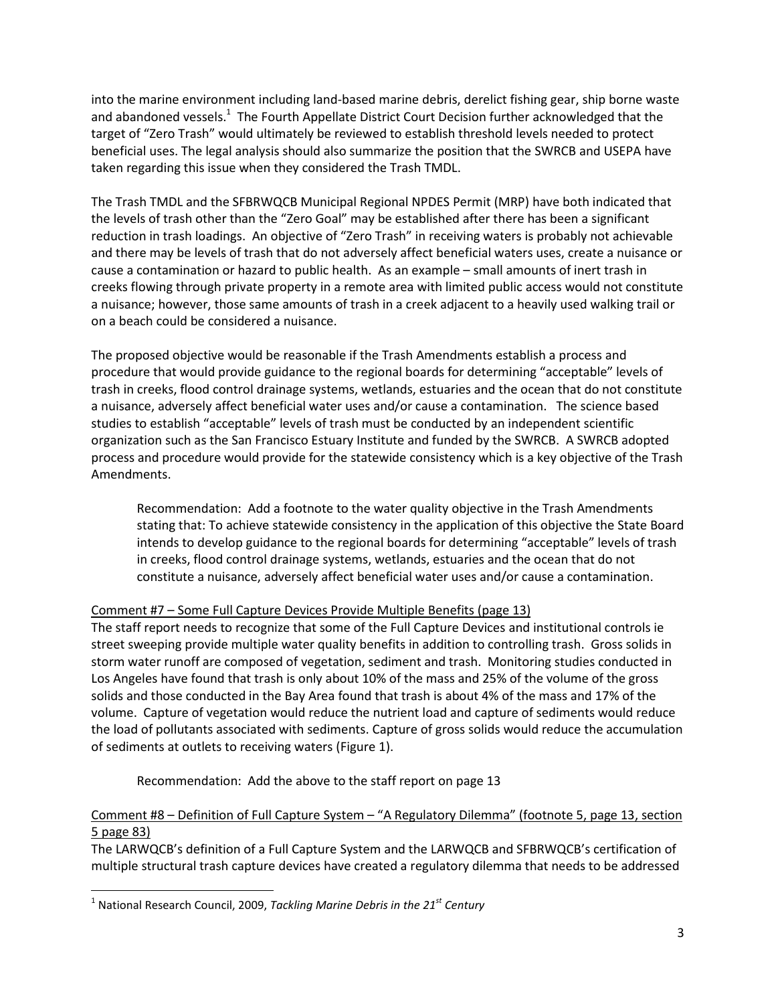into the marine environment including land-based marine debris, derelict fishing gear, ship borne waste and abandoned vessels.<sup>1</sup> The Fourth Appellate District Court Decision further acknowledged that the target of "Zero Trash" would ultimately be reviewed to establish threshold levels needed to protect beneficial uses. The legal analysis should also summarize the position that the SWRCB and USEPA have taken regarding this issue when they considered the Trash TMDL.

The Trash TMDL and the SFBRWQCB Municipal Regional NPDES Permit (MRP) have both indicated that the levels of trash other than the "Zero Goal" may be established after there has been a significant reduction in trash loadings. An objective of "Zero Trash" in receiving waters is probably not achievable and there may be levels of trash that do not adversely affect beneficial waters uses, create a nuisance or cause a contamination or hazard to public health. As an example – small amounts of inert trash in creeks flowing through private property in a remote area with limited public access would not constitute a nuisance; however, those same amounts of trash in a creek adjacent to a heavily used walking trail or on a beach could be considered a nuisance.

The proposed objective would be reasonable if the Trash Amendments establish a process and procedure that would provide guidance to the regional boards for determining "acceptable" levels of trash in creeks, flood control drainage systems, wetlands, estuaries and the ocean that do not constitute a nuisance, adversely affect beneficial water uses and/or cause a contamination. The science based studies to establish "acceptable" levels of trash must be conducted by an independent scientific organization such as the San Francisco Estuary Institute and funded by the SWRCB. A SWRCB adopted process and procedure would provide for the statewide consistency which is a key objective of the Trash Amendments.

Recommendation: Add a footnote to the water quality objective in the Trash Amendments stating that: To achieve statewide consistency in the application of this objective the State Board intends to develop guidance to the regional boards for determining "acceptable" levels of trash in creeks, flood control drainage systems, wetlands, estuaries and the ocean that do not constitute a nuisance, adversely affect beneficial water uses and/or cause a contamination.

# Comment #7 – Some Full Capture Devices Provide Multiple Benefits (page 13)

The staff report needs to recognize that some of the Full Capture Devices and institutional controls ie street sweeping provide multiple water quality benefits in addition to controlling trash. Gross solids in storm water runoff are composed of vegetation, sediment and trash. Monitoring studies conducted in Los Angeles have found that trash is only about 10% of the mass and 25% of the volume of the gross solids and those conducted in the Bay Area found that trash is about 4% of the mass and 17% of the volume. Capture of vegetation would reduce the nutrient load and capture of sediments would reduce the load of pollutants associated with sediments. Capture of gross solids would reduce the accumulation of sediments at outlets to receiving waters (Figure 1).

Recommendation: Add the above to the staff report on page 13

# Comment #8 – Definition of Full Capture System – "A Regulatory Dilemma" (footnote 5, page 13, section 5 page 83)

The LARWQCB's definition of a Full Capture System and the LARWQCB and SFBRWQCB's certification of multiple structural trash capture devices have created a regulatory dilemma that needs to be addressed

 $\overline{\phantom{a}}$ 

<sup>1</sup> National Research Council, 2009, *Tackling Marine Debris in the 21st Century*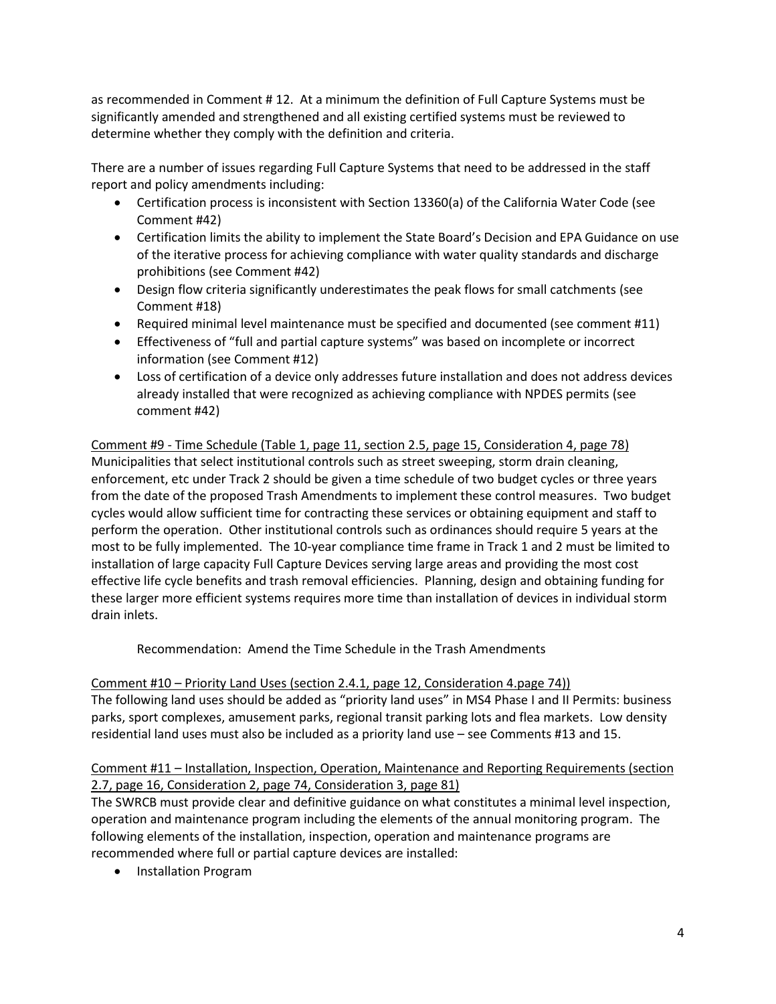as recommended in Comment # 12. At a minimum the definition of Full Capture Systems must be significantly amended and strengthened and all existing certified systems must be reviewed to determine whether they comply with the definition and criteria.

There are a number of issues regarding Full Capture Systems that need to be addressed in the staff report and policy amendments including:

- Certification process is inconsistent with Section 13360(a) of the California Water Code (see Comment #42)
- Certification limits the ability to implement the State Board's Decision and EPA Guidance on use of the iterative process for achieving compliance with water quality standards and discharge prohibitions (see Comment #42)
- Design flow criteria significantly underestimates the peak flows for small catchments (see Comment #18)
- Required minimal level maintenance must be specified and documented (see comment #11)
- Effectiveness of "full and partial capture systems" was based on incomplete or incorrect information (see Comment #12)
- Loss of certification of a device only addresses future installation and does not address devices already installed that were recognized as achieving compliance with NPDES permits (see comment #42)

Comment #9 - Time Schedule (Table 1, page 11, section 2.5, page 15, Consideration 4, page 78) Municipalities that select institutional controls such as street sweeping, storm drain cleaning, enforcement, etc under Track 2 should be given a time schedule of two budget cycles or three years from the date of the proposed Trash Amendments to implement these control measures. Two budget cycles would allow sufficient time for contracting these services or obtaining equipment and staff to perform the operation. Other institutional controls such as ordinances should require 5 years at the most to be fully implemented. The 10-year compliance time frame in Track 1 and 2 must be limited to installation of large capacity Full Capture Devices serving large areas and providing the most cost effective life cycle benefits and trash removal efficiencies. Planning, design and obtaining funding for these larger more efficient systems requires more time than installation of devices in individual storm drain inlets.

Recommendation: Amend the Time Schedule in the Trash Amendments

Comment #10 – Priority Land Uses (section 2.4.1, page 12, Consideration 4.page 74)) The following land uses should be added as "priority land uses" in MS4 Phase I and II Permits: business parks, sport complexes, amusement parks, regional transit parking lots and flea markets. Low density residential land uses must also be included as a priority land use – see Comments #13 and 15.

# Comment #11 – Installation, Inspection, Operation, Maintenance and Reporting Requirements (section 2.7, page 16, Consideration 2, page 74, Consideration 3, page 81)

The SWRCB must provide clear and definitive guidance on what constitutes a minimal level inspection, operation and maintenance program including the elements of the annual monitoring program. The following elements of the installation, inspection, operation and maintenance programs are recommended where full or partial capture devices are installed:

**•** Installation Program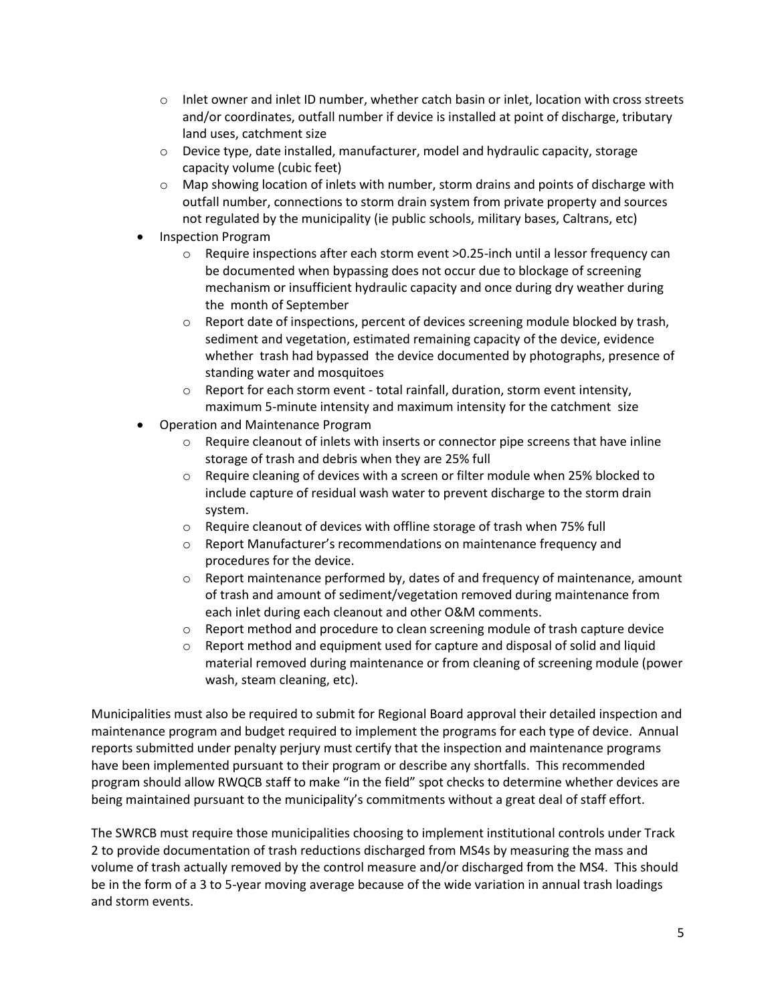- $\circ$  Inlet owner and inlet ID number, whether catch basin or inlet, location with cross streets and/or coordinates, outfall number if device is installed at point of discharge, tributary land uses, catchment size
- $\circ$  Device type, date installed, manufacturer, model and hydraulic capacity, storage capacity volume (cubic feet)
- $\circ$  Map showing location of inlets with number, storm drains and points of discharge with outfall number, connections to storm drain system from private property and sources not regulated by the municipality (ie public schools, military bases, Caltrans, etc)
- Inspection Program
	- o Require inspections after each storm event >0.25-inch until a lessor frequency can be documented when bypassing does not occur due to blockage of screening mechanism or insufficient hydraulic capacity and once during dry weather during the month of September
	- $\circ$  Report date of inspections, percent of devices screening module blocked by trash, sediment and vegetation, estimated remaining capacity of the device, evidence whether trash had bypassed the device documented by photographs, presence of standing water and mosquitoes
	- o Report for each storm event total rainfall, duration, storm event intensity, maximum 5-minute intensity and maximum intensity for the catchment size
- Operation and Maintenance Program
	- $\circ$  Require cleanout of inlets with inserts or connector pipe screens that have inline storage of trash and debris when they are 25% full
	- $\circ$  Require cleaning of devices with a screen or filter module when 25% blocked to include capture of residual wash water to prevent discharge to the storm drain system.
	- o Require cleanout of devices with offline storage of trash when 75% full
	- o Report Manufacturer's recommendations on maintenance frequency and procedures for the device.
	- $\circ$  Report maintenance performed by, dates of and frequency of maintenance, amount of trash and amount of sediment/vegetation removed during maintenance from each inlet during each cleanout and other O&M comments.
	- $\circ$  Report method and procedure to clean screening module of trash capture device
	- $\circ$  Report method and equipment used for capture and disposal of solid and liquid material removed during maintenance or from cleaning of screening module (power wash, steam cleaning, etc).

Municipalities must also be required to submit for Regional Board approval their detailed inspection and maintenance program and budget required to implement the programs for each type of device. Annual reports submitted under penalty perjury must certify that the inspection and maintenance programs have been implemented pursuant to their program or describe any shortfalls. This recommended program should allow RWQCB staff to make "in the field" spot checks to determine whether devices are being maintained pursuant to the municipality's commitments without a great deal of staff effort.

The SWRCB must require those municipalities choosing to implement institutional controls under Track 2 to provide documentation of trash reductions discharged from MS4s by measuring the mass and volume of trash actually removed by the control measure and/or discharged from the MS4. This should be in the form of a 3 to 5-year moving average because of the wide variation in annual trash loadings and storm events.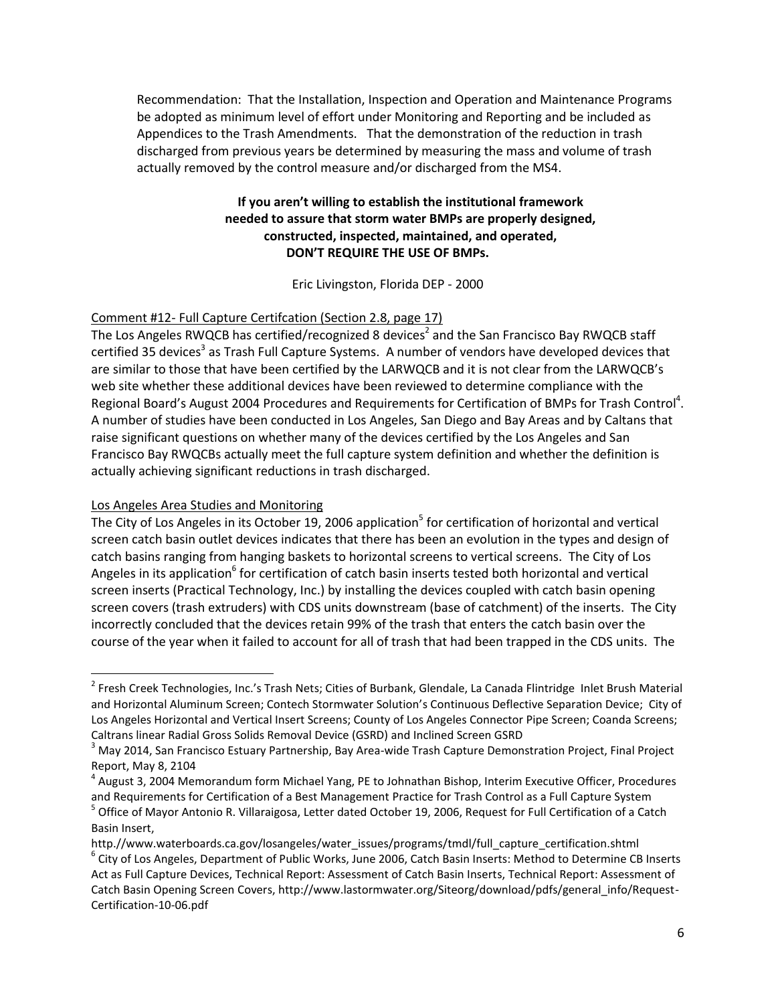Recommendation: That the Installation, Inspection and Operation and Maintenance Programs be adopted as minimum level of effort under Monitoring and Reporting and be included as Appendices to the Trash Amendments. That the demonstration of the reduction in trash discharged from previous years be determined by measuring the mass and volume of trash actually removed by the control measure and/or discharged from the MS4.

# **If you aren't willing to establish the institutional framework needed to assure that storm water BMPs are properly designed, constructed, inspected, maintained, and operated, DON'T REQUIRE THE USE OF BMPs.**

Eric Livingston, Florida DEP - 2000

### Comment #12- Full Capture Certifcation (Section 2.8, page 17)

The Los Angeles RWQCB has certified/recognized 8 devices<sup>2</sup> and the San Francisco Bay RWQCB staff certified 35 devices<sup>3</sup> as Trash Full Capture Systems. A number of vendors have developed devices that are similar to those that have been certified by the LARWQCB and it is not clear from the LARWQCB's web site whether these additional devices have been reviewed to determine compliance with the Regional Board's August 2004 Procedures and Requirements for Certification of BMPs for Trash Control<sup>4</sup>. A number of studies have been conducted in Los Angeles, San Diego and Bay Areas and by Caltans that raise significant questions on whether many of the devices certified by the Los Angeles and San Francisco Bay RWQCBs actually meet the full capture system definition and whether the definition is actually achieving significant reductions in trash discharged.

#### Los Angeles Area Studies and Monitoring

 $\overline{\phantom{a}}$ 

The City of Los Angeles in its October 19, 2006 application<sup>5</sup> for certification of horizontal and vertical screen catch basin outlet devices indicates that there has been an evolution in the types and design of catch basins ranging from hanging baskets to horizontal screens to vertical screens. The City of Los Angeles in its application<sup>6</sup> for certification of catch basin inserts tested both horizontal and vertical screen inserts (Practical Technology, Inc.) by installing the devices coupled with catch basin opening screen covers (trash extruders) with CDS units downstream (base of catchment) of the inserts. The City incorrectly concluded that the devices retain 99% of the trash that enters the catch basin over the course of the year when it failed to account for all of trash that had been trapped in the CDS units. The

<sup>&</sup>lt;sup>2</sup> Fresh Creek Technologies, Inc.'s Trash Nets; Cities of Burbank, Glendale, La Canada Flintridge Inlet Brush Material and Horizontal Aluminum Screen; Contech Stormwater Solution's Continuous Deflective Separation Device; City of Los Angeles Horizontal and Vertical Insert Screens; County of Los Angeles Connector Pipe Screen; Coanda Screens; Caltrans linear Radial Gross Solids Removal Device (GSRD) and Inclined Screen GSRD

<sup>&</sup>lt;sup>3</sup> May 2014, San Francisco Estuary Partnership, Bay Area-wide Trash Capture Demonstration Project, Final Project Report, May 8, 2104

<sup>4</sup> August 3, 2004 Memorandum form Michael Yang, PE to Johnathan Bishop, Interim Executive Officer, Procedures and Requirements for Certification of a Best Management Practice for Trash Control as a Full Capture System <sup>5</sup> Office of Mayor Antonio R. Villaraigosa, Letter dated October 19, 2006, Request for Full Certification of a Catch Basin Insert,

http.//www.waterboards.ca.gov/losangeles/water\_issues/programs/tmdl/full\_capture\_certification.shtml 6 City of Los Angeles, Department of Public Works, June 2006, Catch Basin Inserts: Method to Determine CB Inserts Act as Full Capture Devices, Technical Report: Assessment of Catch Basin Inserts, Technical Report: Assessment of Catch Basin Opening Screen Covers, http://www.lastormwater.org/Siteorg/download/pdfs/general\_info/Request-Certification-10-06.pdf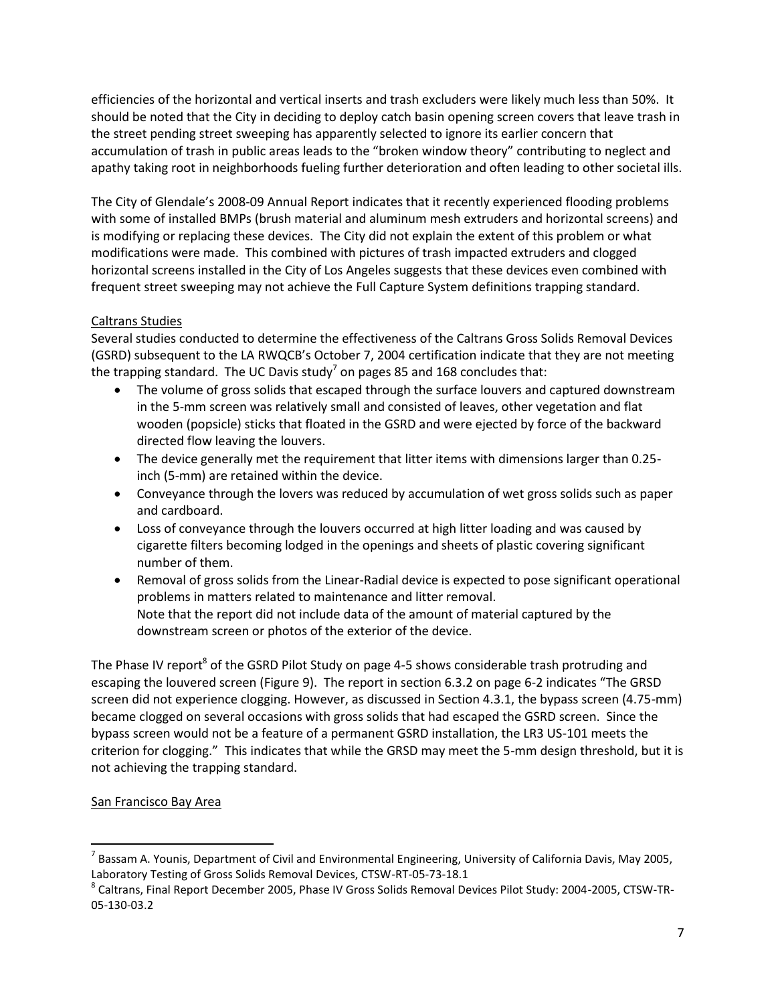efficiencies of the horizontal and vertical inserts and trash excluders were likely much less than 50%. It should be noted that the City in deciding to deploy catch basin opening screen covers that leave trash in the street pending street sweeping has apparently selected to ignore its earlier concern that accumulation of trash in public areas leads to the "broken window theory" contributing to neglect and apathy taking root in neighborhoods fueling further deterioration and often leading to other societal ills.

The City of Glendale's 2008-09 Annual Report indicates that it recently experienced flooding problems with some of installed BMPs (brush material and aluminum mesh extruders and horizontal screens) and is modifying or replacing these devices. The City did not explain the extent of this problem or what modifications were made. This combined with pictures of trash impacted extruders and clogged horizontal screens installed in the City of Los Angeles suggests that these devices even combined with frequent street sweeping may not achieve the Full Capture System definitions trapping standard.

# Caltrans Studies

Several studies conducted to determine the effectiveness of the Caltrans Gross Solids Removal Devices (GSRD) subsequent to the LA RWQCB's October 7, 2004 certification indicate that they are not meeting the trapping standard. The UC Davis study<sup>7</sup> on pages 85 and 168 concludes that:

- The volume of gross solids that escaped through the surface louvers and captured downstream in the 5-mm screen was relatively small and consisted of leaves, other vegetation and flat wooden (popsicle) sticks that floated in the GSRD and were ejected by force of the backward directed flow leaving the louvers.
- The device generally met the requirement that litter items with dimensions larger than 0.25 inch (5-mm) are retained within the device.
- Conveyance through the lovers was reduced by accumulation of wet gross solids such as paper and cardboard.
- Loss of conveyance through the louvers occurred at high litter loading and was caused by cigarette filters becoming lodged in the openings and sheets of plastic covering significant number of them.
- Removal of gross solids from the Linear-Radial device is expected to pose significant operational problems in matters related to maintenance and litter removal. Note that the report did not include data of the amount of material captured by the downstream screen or photos of the exterior of the device.

The Phase IV report<sup>8</sup> of the GSRD Pilot Study on page 4-5 shows considerable trash protruding and escaping the louvered screen (Figure 9). The report in section 6.3.2 on page 6-2 indicates "The GRSD screen did not experience clogging. However, as discussed in Section 4.3.1, the bypass screen (4.75-mm) became clogged on several occasions with gross solids that had escaped the GSRD screen. Since the bypass screen would not be a feature of a permanent GSRD installation, the LR3 US-101 meets the criterion for clogging." This indicates that while the GRSD may meet the 5-mm design threshold, but it is not achieving the trapping standard.

# San Francisco Bay Area

 $\overline{a}$ 

<sup>&</sup>lt;sup>7</sup> Bassam A. Younis, Department of Civil and Environmental Engineering, University of California Davis, May 2005, Laboratory Testing of Gross Solids Removal Devices, CTSW-RT-05-73-18.1

<sup>&</sup>lt;sup>8</sup> Caltrans, Final Report December 2005, Phase IV Gross Solids Removal Devices Pilot Study: 2004-2005, CTSW-TR-05-130-03.2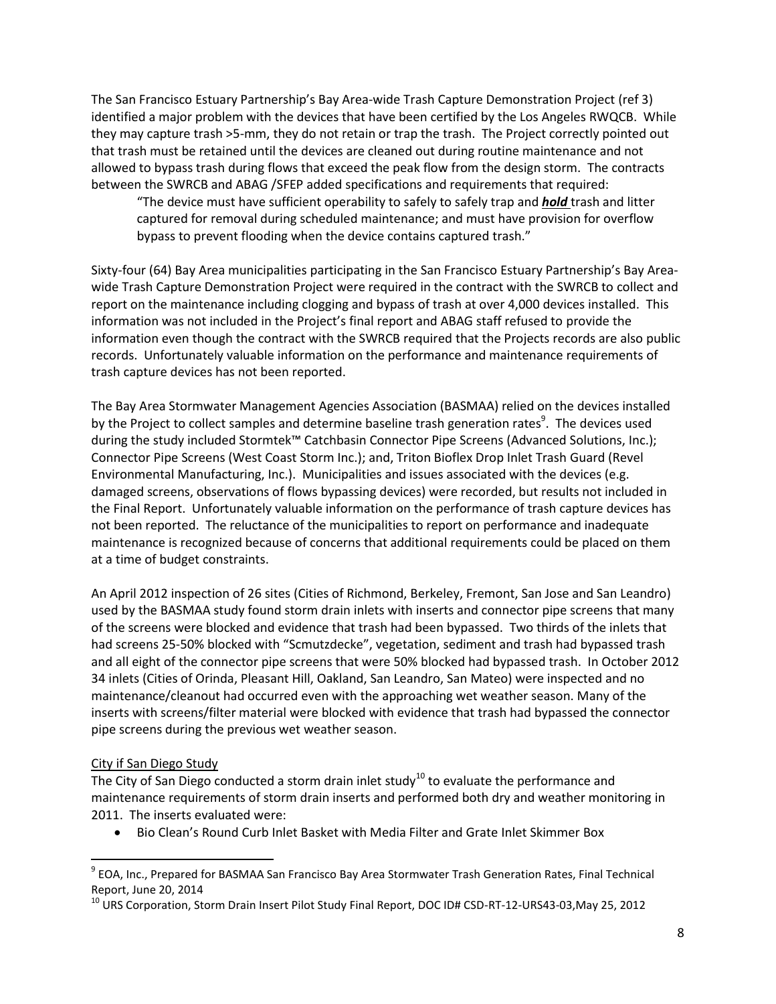The San Francisco Estuary Partnership's Bay Area-wide Trash Capture Demonstration Project (ref 3) identified a major problem with the devices that have been certified by the Los Angeles RWQCB. While they may capture trash >5-mm, they do not retain or trap the trash. The Project correctly pointed out that trash must be retained until the devices are cleaned out during routine maintenance and not allowed to bypass trash during flows that exceed the peak flow from the design storm. The contracts between the SWRCB and ABAG /SFEP added specifications and requirements that required:

"The device must have sufficient operability to safely to safely trap and *hold* trash and litter captured for removal during scheduled maintenance; and must have provision for overflow bypass to prevent flooding when the device contains captured trash."

Sixty-four (64) Bay Area municipalities participating in the San Francisco Estuary Partnership's Bay Areawide Trash Capture Demonstration Project were required in the contract with the SWRCB to collect and report on the maintenance including clogging and bypass of trash at over 4,000 devices installed. This information was not included in the Project's final report and ABAG staff refused to provide the information even though the contract with the SWRCB required that the Projects records are also public records. Unfortunately valuable information on the performance and maintenance requirements of trash capture devices has not been reported.

The Bay Area Stormwater Management Agencies Association (BASMAA) relied on the devices installed by the Project to collect samples and determine baseline trash generation rates<sup>9</sup>. The devices used during the study included Stormtek™ Catchbasin Connector Pipe Screens (Advanced Solutions, Inc.); Connector Pipe Screens (West Coast Storm Inc.); and, Triton Bioflex Drop Inlet Trash Guard (Revel Environmental Manufacturing, Inc.). Municipalities and issues associated with the devices (e.g. damaged screens, observations of flows bypassing devices) were recorded, but results not included in the Final Report. Unfortunately valuable information on the performance of trash capture devices has not been reported. The reluctance of the municipalities to report on performance and inadequate maintenance is recognized because of concerns that additional requirements could be placed on them at a time of budget constraints.

An April 2012 inspection of 26 sites (Cities of Richmond, Berkeley, Fremont, San Jose and San Leandro) used by the BASMAA study found storm drain inlets with inserts and connector pipe screens that many of the screens were blocked and evidence that trash had been bypassed. Two thirds of the inlets that had screens 25-50% blocked with "Scmutzdecke", vegetation, sediment and trash had bypassed trash and all eight of the connector pipe screens that were 50% blocked had bypassed trash. In October 2012 34 inlets (Cities of Orinda, Pleasant Hill, Oakland, San Leandro, San Mateo) were inspected and no maintenance/cleanout had occurred even with the approaching wet weather season. Many of the inserts with screens/filter material were blocked with evidence that trash had bypassed the connector pipe screens during the previous wet weather season.

# City if San Diego Study

 $\overline{\phantom{a}}$ 

The City of San Diego conducted a storm drain inlet study<sup>10</sup> to evaluate the performance and maintenance requirements of storm drain inserts and performed both dry and weather monitoring in 2011. The inserts evaluated were:

Bio Clean's Round Curb Inlet Basket with Media Filter and Grate Inlet Skimmer Box

<sup>&</sup>lt;sup>9</sup> EOA, Inc., Prepared for BASMAA San Francisco Bay Area Stormwater Trash Generation Rates, Final Technical Report, June 20, 2014

<sup>&</sup>lt;sup>10</sup> URS Corporation, Storm Drain Insert Pilot Study Final Report, DOC ID# CSD-RT-12-URS43-03, May 25, 2012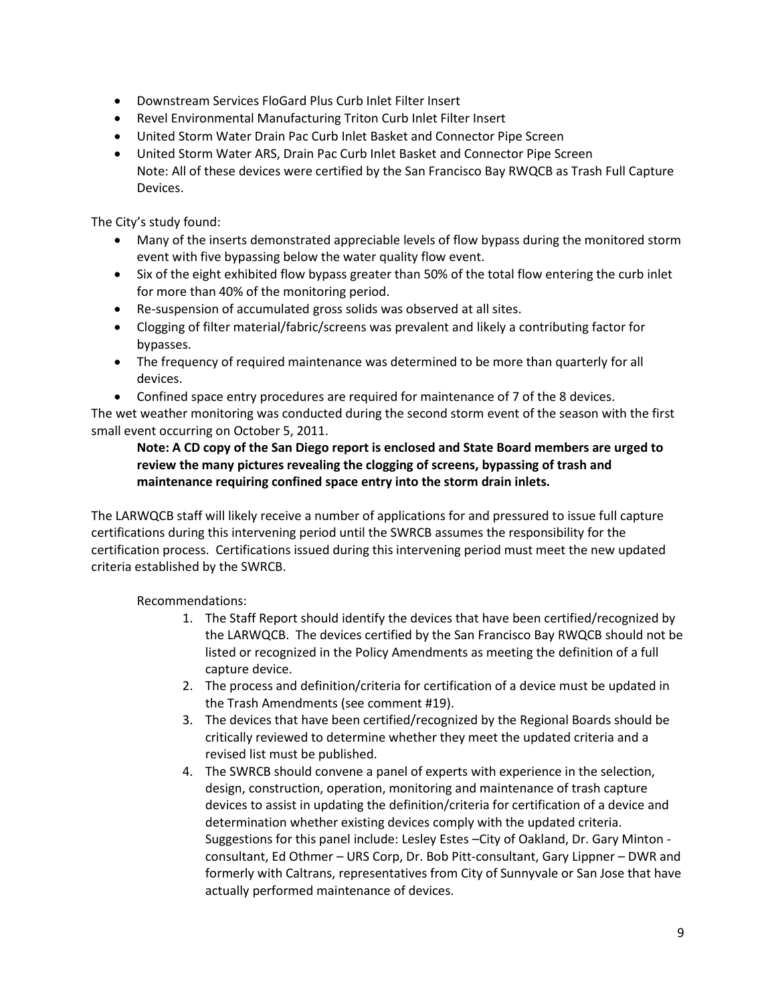- Downstream Services FloGard Plus Curb Inlet Filter Insert
- Revel Environmental Manufacturing Triton Curb Inlet Filter Insert
- United Storm Water Drain Pac Curb Inlet Basket and Connector Pipe Screen
- United Storm Water ARS, Drain Pac Curb Inlet Basket and Connector Pipe Screen Note: All of these devices were certified by the San Francisco Bay RWQCB as Trash Full Capture Devices.

The City's study found:

- Many of the inserts demonstrated appreciable levels of flow bypass during the monitored storm event with five bypassing below the water quality flow event.
- Six of the eight exhibited flow bypass greater than 50% of the total flow entering the curb inlet for more than 40% of the monitoring period.
- Re-suspension of accumulated gross solids was observed at all sites.
- Clogging of filter material/fabric/screens was prevalent and likely a contributing factor for bypasses.
- The frequency of required maintenance was determined to be more than quarterly for all devices.
- Confined space entry procedures are required for maintenance of 7 of the 8 devices.

The wet weather monitoring was conducted during the second storm event of the season with the first small event occurring on October 5, 2011.

### **Note: A CD copy of the San Diego report is enclosed and State Board members are urged to review the many pictures revealing the clogging of screens, bypassing of trash and maintenance requiring confined space entry into the storm drain inlets.**

The LARWQCB staff will likely receive a number of applications for and pressured to issue full capture certifications during this intervening period until the SWRCB assumes the responsibility for the certification process. Certifications issued during this intervening period must meet the new updated criteria established by the SWRCB.

Recommendations:

- 1. The Staff Report should identify the devices that have been certified/recognized by the LARWQCB. The devices certified by the San Francisco Bay RWQCB should not be listed or recognized in the Policy Amendments as meeting the definition of a full capture device.
- 2. The process and definition/criteria for certification of a device must be updated in the Trash Amendments (see comment #19).
- 3. The devices that have been certified/recognized by the Regional Boards should be critically reviewed to determine whether they meet the updated criteria and a revised list must be published.
- 4. The SWRCB should convene a panel of experts with experience in the selection, design, construction, operation, monitoring and maintenance of trash capture devices to assist in updating the definition/criteria for certification of a device and determination whether existing devices comply with the updated criteria. Suggestions for this panel include: Lesley Estes –City of Oakland, Dr. Gary Minton consultant, Ed Othmer – URS Corp, Dr. Bob Pitt-consultant, Gary Lippner – DWR and formerly with Caltrans, representatives from City of Sunnyvale or San Jose that have actually performed maintenance of devices.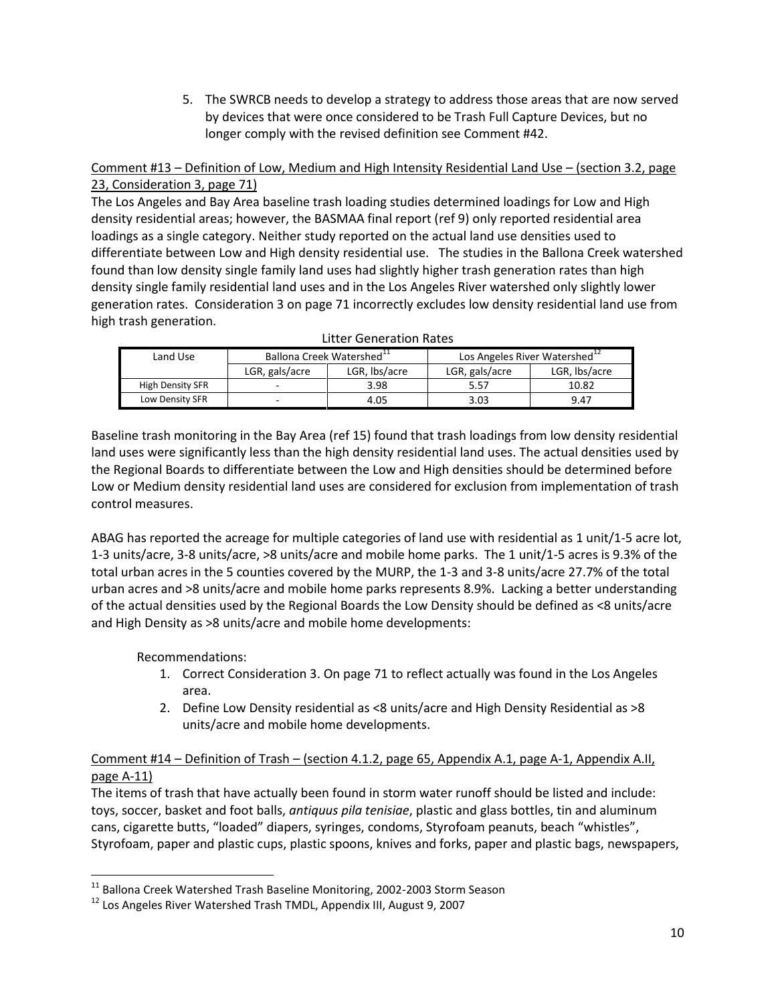5. The SWRCB needs to develop a strategy to address those areas that are now served by devices that were once considered to be Trash Full Capture Devices, but no longer comply with the revised definition see Comment #42.

# Comment #13 – Definition of Low, Medium and High Intensity Residential Land Use – (section 3.2, page 23, Consideration 3, page 71)

The Los Angeles and Bay Area baseline trash loading studies determined loadings for Low and High density residential areas; however, the BASMAA final report (ref 9) only reported residential area loadings as a single category. Neither study reported on the actual land use densities used to differentiate between Low and High density residential use. The studies in the Ballona Creek watershed found than low density single family land uses had slightly higher trash generation rates than high density single family residential land uses and in the Los Angeles River watershed only slightly lower generation rates. Consideration 3 on page 71 incorrectly excludes low density residential land use from high trash generation.

| LGR, lbs/acre<br>LGR, gals/acre<br>LGR, Ibs/acre<br>LGR, gals/acre |  |
|--------------------------------------------------------------------|--|
|                                                                    |  |
| High Density SFR<br>10.82<br>3.98<br>5.57<br>-                     |  |
| Low Density SFR<br>3.03<br>9.47<br>4.05                            |  |

Baseline trash monitoring in the Bay Area (ref 15) found that trash loadings from low density residential land uses were significantly less than the high density residential land uses. The actual densities used by the Regional Boards to differentiate between the Low and High densities should be determined before Low or Medium density residential land uses are considered for exclusion from implementation of trash control measures.

ABAG has reported the acreage for multiple categories of land use with residential as 1 unit/1-5 acre lot, 1-3 units/acre, 3-8 units/acre, >8 units/acre and mobile home parks. The 1 unit/1-5 acres is 9.3% of the total urban acres in the 5 counties covered by the MURP, the 1-3 and 3-8 units/acre 27.7% of the total urban acres and >8 units/acre and mobile home parks represents 8.9%. Lacking a better understanding of the actual densities used by the Regional Boards the Low Density should be defined as <8 units/acre and High Density as >8 units/acre and mobile home developments:

Recommendations:

l

- 1. Correct Consideration 3. On page 71 to reflect actually was found in the Los Angeles area.
- 2. Define Low Density residential as <8 units/acre and High Density Residential as >8 units/acre and mobile home developments.

# Comment #14 – Definition of Trash – (section 4.1.2, page 65, Appendix A.1, page A-1, Appendix A.II, page A-11)

The items of trash that have actually been found in storm water runoff should be listed and include: toys, soccer, basket and foot balls, *antiquus pila tenisiae*, plastic and glass bottles, tin and aluminum cans, cigarette butts, "loaded" diapers, syringes, condoms, Styrofoam peanuts, beach "whistles", Styrofoam, paper and plastic cups, plastic spoons, knives and forks, paper and plastic bags, newspapers,

<sup>&</sup>lt;sup>11</sup> Ballona Creek Watershed Trash Baseline Monitoring, 2002-2003 Storm Season

<sup>&</sup>lt;sup>12</sup> Los Angeles River Watershed Trash TMDL, Appendix III, August 9, 2007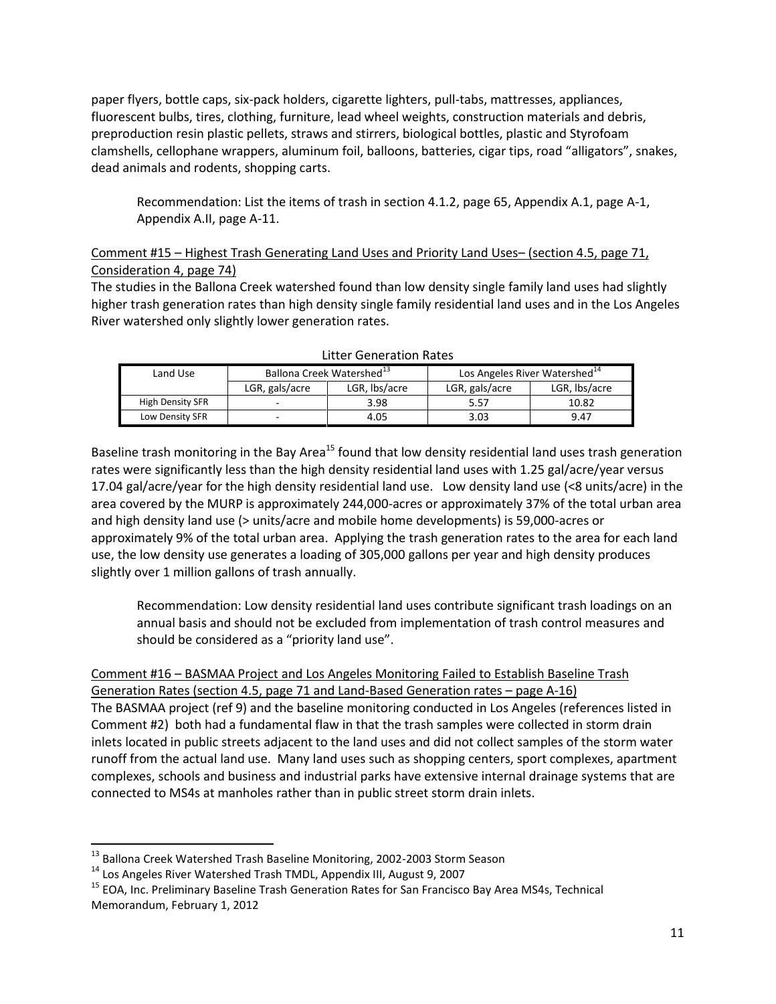paper flyers, bottle caps, six-pack holders, cigarette lighters, pull-tabs, mattresses, appliances, fluorescent bulbs, tires, clothing, furniture, lead wheel weights, construction materials and debris, preproduction resin plastic pellets, straws and stirrers, biological bottles, plastic and Styrofoam clamshells, cellophane wrappers, aluminum foil, balloons, batteries, cigar tips, road "alligators", snakes, dead animals and rodents, shopping carts.

Recommendation: List the items of trash in section 4.1.2, page 65, Appendix A.1, page A-1, Appendix A.II, page A-11.

# Comment #15 – Highest Trash Generating Land Uses and Priority Land Uses– (section 4.5, page 71, Consideration 4, page 74)

The studies in the Ballona Creek watershed found than low density single family land uses had slightly higher trash generation rates than high density single family residential land uses and in the Los Angeles River watershed only slightly lower generation rates.

| Land Use         | Ballona Creek Watershed <sup>13</sup> |               | Los Angeles River Watershed <sup>14</sup> |               |
|------------------|---------------------------------------|---------------|-------------------------------------------|---------------|
|                  | LGR, gals/acre                        | LGR, lbs/acre | LGR, gals/acre                            | LGR, lbs/acre |
| High Density SFR | -                                     | 3.98          | 5.57                                      | 10.82         |
| Low Density SFR  |                                       | 4.05          | 3.03                                      | 9.47          |

Litter Generation Rates

Baseline trash monitoring in the Bay Area<sup>15</sup> found that low density residential land uses trash generation rates were significantly less than the high density residential land uses with 1.25 gal/acre/year versus 17.04 gal/acre/year for the high density residential land use. Low density land use (<8 units/acre) in the area covered by the MURP is approximately 244,000-acres or approximately 37% of the total urban area and high density land use (> units/acre and mobile home developments) is 59,000-acres or approximately 9% of the total urban area. Applying the trash generation rates to the area for each land use, the low density use generates a loading of 305,000 gallons per year and high density produces slightly over 1 million gallons of trash annually.

Recommendation: Low density residential land uses contribute significant trash loadings on an annual basis and should not be excluded from implementation of trash control measures and should be considered as a "priority land use".

Comment #16 – BASMAA Project and Los Angeles Monitoring Failed to Establish Baseline Trash Generation Rates (section 4.5, page 71 and Land-Based Generation rates – page A-16) The BASMAA project (ref 9) and the baseline monitoring conducted in Los Angeles (references listed in Comment #2) both had a fundamental flaw in that the trash samples were collected in storm drain inlets located in public streets adjacent to the land uses and did not collect samples of the storm water runoff from the actual land use. Many land uses such as shopping centers, sport complexes, apartment complexes, schools and business and industrial parks have extensive internal drainage systems that are connected to MS4s at manholes rather than in public street storm drain inlets.

 $\overline{a}$ 

<sup>&</sup>lt;sup>13</sup> Ballona Creek Watershed Trash Baseline Monitoring, 2002-2003 Storm Season

<sup>&</sup>lt;sup>14</sup> Los Angeles River Watershed Trash TMDL, Appendix III, August 9, 2007

<sup>&</sup>lt;sup>15</sup> EOA, Inc. Preliminary Baseline Trash Generation Rates for San Francisco Bay Area MS4s, Technical Memorandum, February 1, 2012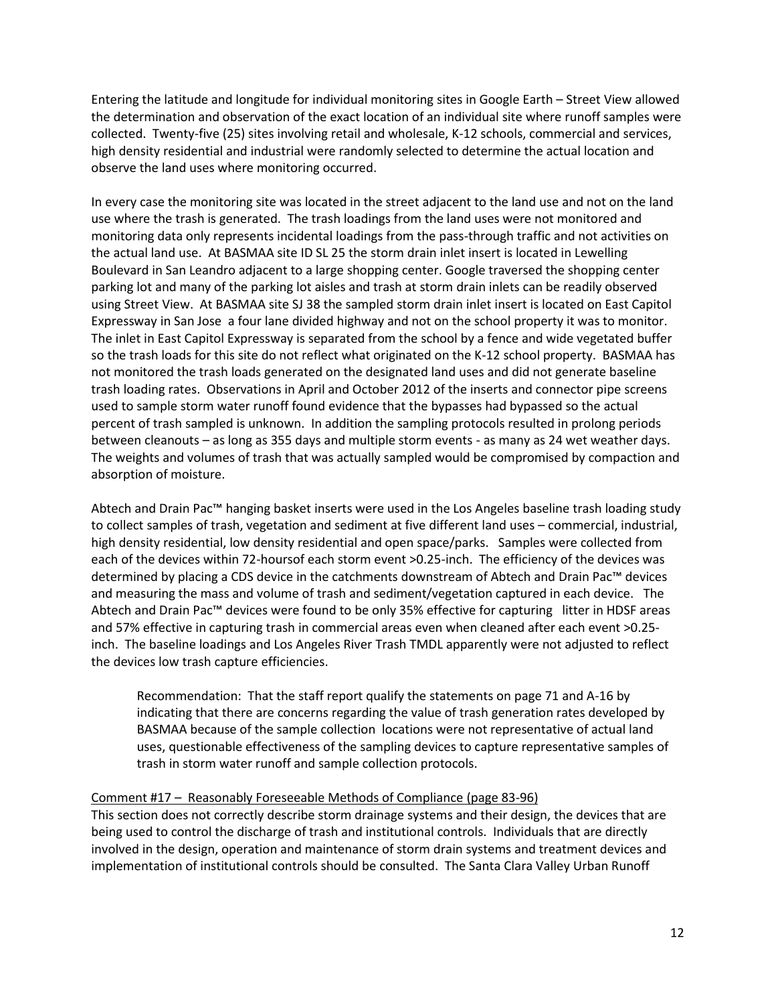Entering the latitude and longitude for individual monitoring sites in Google Earth – Street View allowed the determination and observation of the exact location of an individual site where runoff samples were collected. Twenty-five (25) sites involving retail and wholesale, K-12 schools, commercial and services, high density residential and industrial were randomly selected to determine the actual location and observe the land uses where monitoring occurred.

In every case the monitoring site was located in the street adjacent to the land use and not on the land use where the trash is generated. The trash loadings from the land uses were not monitored and monitoring data only represents incidental loadings from the pass-through traffic and not activities on the actual land use. At BASMAA site ID SL 25 the storm drain inlet insert is located in Lewelling Boulevard in San Leandro adjacent to a large shopping center. Google traversed the shopping center parking lot and many of the parking lot aisles and trash at storm drain inlets can be readily observed using Street View. At BASMAA site SJ 38 the sampled storm drain inlet insert is located on East Capitol Expressway in San Jose a four lane divided highway and not on the school property it was to monitor. The inlet in East Capitol Expressway is separated from the school by a fence and wide vegetated buffer so the trash loads for this site do not reflect what originated on the K-12 school property. BASMAA has not monitored the trash loads generated on the designated land uses and did not generate baseline trash loading rates. Observations in April and October 2012 of the inserts and connector pipe screens used to sample storm water runoff found evidence that the bypasses had bypassed so the actual percent of trash sampled is unknown. In addition the sampling protocols resulted in prolong periods between cleanouts – as long as 355 days and multiple storm events - as many as 24 wet weather days. The weights and volumes of trash that was actually sampled would be compromised by compaction and absorption of moisture.

Abtech and Drain Pac™ hanging basket inserts were used in the Los Angeles baseline trash loading study to collect samples of trash, vegetation and sediment at five different land uses – commercial, industrial, high density residential, low density residential and open space/parks. Samples were collected from each of the devices within 72-hoursof each storm event >0.25-inch. The efficiency of the devices was determined by placing a CDS device in the catchments downstream of Abtech and Drain Pac™ devices and measuring the mass and volume of trash and sediment/vegetation captured in each device. The Abtech and Drain Pac™ devices were found to be only 35% effective for capturing litter in HDSF areas and 57% effective in capturing trash in commercial areas even when cleaned after each event >0.25 inch. The baseline loadings and Los Angeles River Trash TMDL apparently were not adjusted to reflect the devices low trash capture efficiencies.

Recommendation: That the staff report qualify the statements on page 71 and A-16 by indicating that there are concerns regarding the value of trash generation rates developed by BASMAA because of the sample collection locations were not representative of actual land uses, questionable effectiveness of the sampling devices to capture representative samples of trash in storm water runoff and sample collection protocols.

#### Comment #17 – Reasonably Foreseeable Methods of Compliance (page 83-96)

This section does not correctly describe storm drainage systems and their design, the devices that are being used to control the discharge of trash and institutional controls. Individuals that are directly involved in the design, operation and maintenance of storm drain systems and treatment devices and implementation of institutional controls should be consulted. The Santa Clara Valley Urban Runoff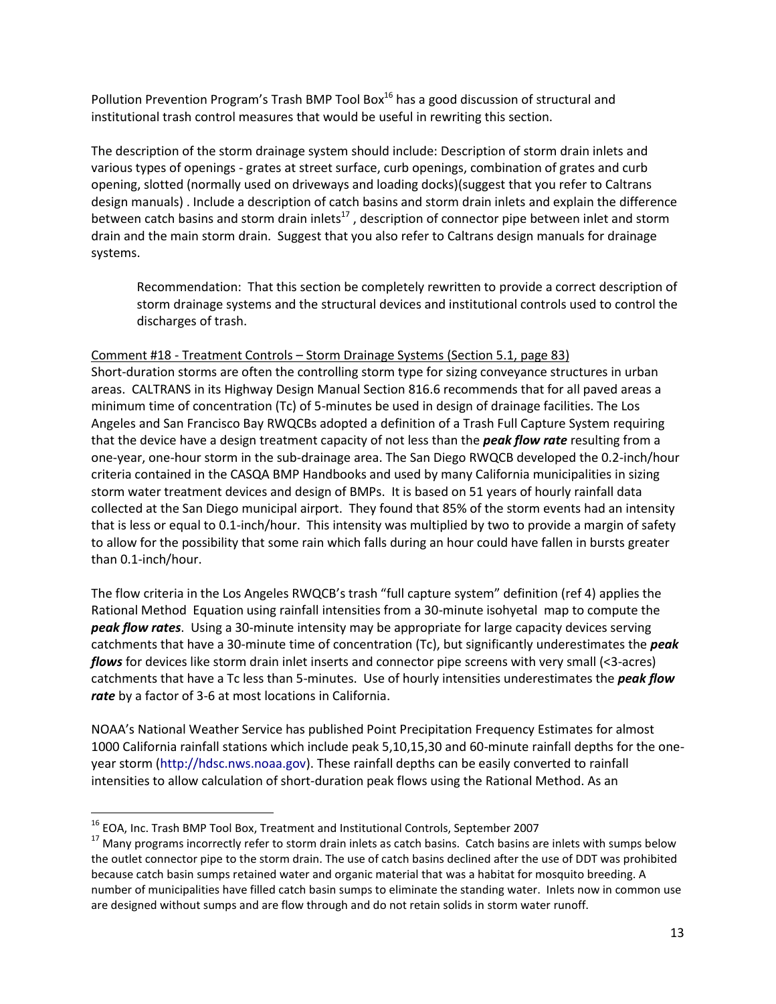Pollution Prevention Program's Trash BMP Tool Box<sup>16</sup> has a good discussion of structural and institutional trash control measures that would be useful in rewriting this section.

The description of the storm drainage system should include: Description of storm drain inlets and various types of openings - grates at street surface, curb openings, combination of grates and curb opening, slotted (normally used on driveways and loading docks)(suggest that you refer to Caltrans design manuals) . Include a description of catch basins and storm drain inlets and explain the difference between catch basins and storm drain inlets<sup>17</sup>, description of connector pipe between inlet and storm drain and the main storm drain. Suggest that you also refer to Caltrans design manuals for drainage systems.

Recommendation: That this section be completely rewritten to provide a correct description of storm drainage systems and the structural devices and institutional controls used to control the discharges of trash.

### Comment #18 - Treatment Controls – Storm Drainage Systems (Section 5.1, page 83)

Short-duration storms are often the controlling storm type for sizing conveyance structures in urban areas. CALTRANS in its Highway Design Manual Section 816.6 recommends that for all paved areas a minimum time of concentration (Tc) of 5-minutes be used in design of drainage facilities. The Los Angeles and San Francisco Bay RWQCBs adopted a definition of a Trash Full Capture System requiring that the device have a design treatment capacity of not less than the *peak flow rate* resulting from a one-year, one-hour storm in the sub-drainage area. The San Diego RWQCB developed the 0.2-inch/hour criteria contained in the CASQA BMP Handbooks and used by many California municipalities in sizing storm water treatment devices and design of BMPs. It is based on 51 years of hourly rainfall data collected at the San Diego municipal airport. They found that 85% of the storm events had an intensity that is less or equal to 0.1-inch/hour. This intensity was multiplied by two to provide a margin of safety to allow for the possibility that some rain which falls during an hour could have fallen in bursts greater than 0.1-inch/hour.

The flow criteria in the Los Angeles RWQCB's trash "full capture system" definition (ref 4) applies the Rational Method Equation using rainfall intensities from a 30-minute isohyetal map to compute the *peak flow rates*. Using a 30-minute intensity may be appropriate for large capacity devices serving catchments that have a 30-minute time of concentration (Tc), but significantly underestimates the *peak flows* for devices like storm drain inlet inserts and connector pipe screens with very small (<3-acres) catchments that have a Tc less than 5-minutes. Use of hourly intensities underestimates the *peak flow rate* by a factor of 3-6 at most locations in California.

NOAA's National Weather Service has published Point Precipitation Frequency Estimates for almost 1000 California rainfall stations which include peak 5,10,15,30 and 60-minute rainfall depths for the oneyear storm [\(http://hdsc.nws.noaa.gov\)](http://hdsc.nws.noaa.gov/). These rainfall depths can be easily converted to rainfall intensities to allow calculation of short-duration peak flows using the Rational Method. As an

 $\overline{a}$ 

<sup>&</sup>lt;sup>16</sup> EOA, Inc. Trash BMP Tool Box, Treatment and Institutional Controls, September 2007

<sup>&</sup>lt;sup>17</sup> Many programs incorrectly refer to storm drain inlets as catch basins. Catch basins are inlets with sumps below the outlet connector pipe to the storm drain. The use of catch basins declined after the use of DDT was prohibited because catch basin sumps retained water and organic material that was a habitat for mosquito breeding. A number of municipalities have filled catch basin sumps to eliminate the standing water. Inlets now in common use are designed without sumps and are flow through and do not retain solids in storm water runoff.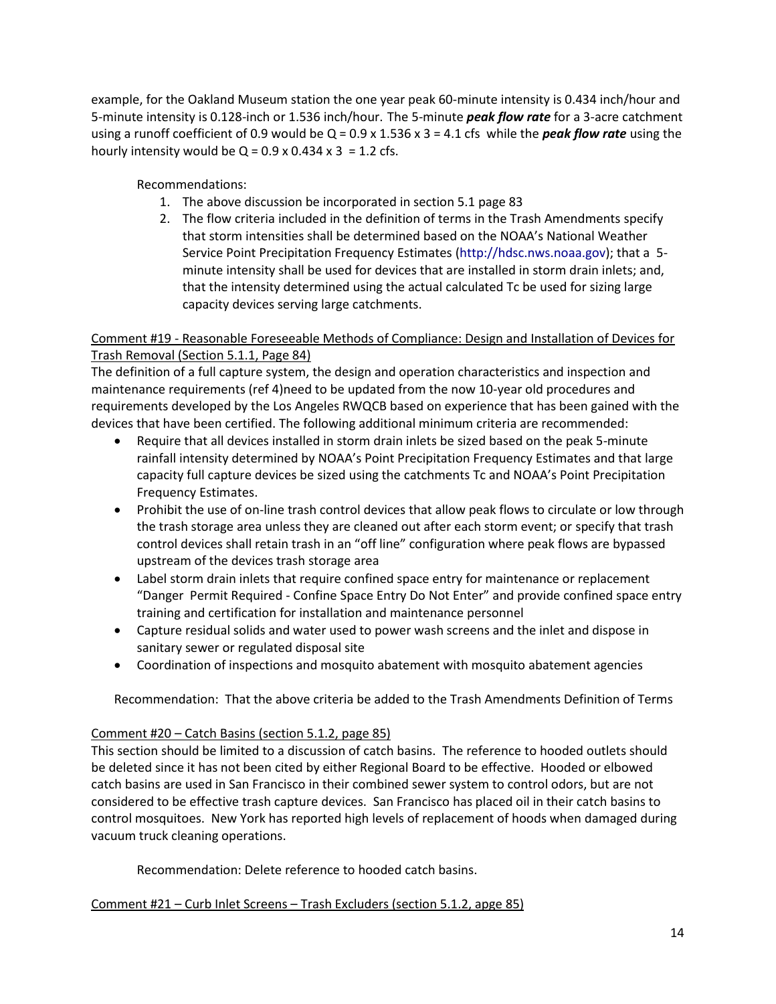example, for the Oakland Museum station the one year peak 60-minute intensity is 0.434 inch/hour and 5-minute intensity is 0.128-inch or 1.536 inch/hour. The 5-minute *peak flow rate* for a 3-acre catchment using a runoff coefficient of 0.9 would be Q = 0.9 x 1.536 x 3 = 4.1 cfs while the *peak flow rate* using the hourly intensity would be  $Q = 0.9 \times 0.434 \times 3 = 1.2$  cfs.

Recommendations:

- 1. The above discussion be incorporated in section 5.1 page 83
- 2. The flow criteria included in the definition of terms in the Trash Amendments specify that storm intensities shall be determined based on the NOAA's National Weather Service Point Precipitation Frequency Estimates [\(http://hdsc.nws.noaa.gov\)](http://hdsc.nws.noaa.gov/); that a 5 minute intensity shall be used for devices that are installed in storm drain inlets; and, that the intensity determined using the actual calculated Tc be used for sizing large capacity devices serving large catchments.

# Comment #19 - Reasonable Foreseeable Methods of Compliance: Design and Installation of Devices for Trash Removal (Section 5.1.1, Page 84)

The definition of a full capture system, the design and operation characteristics and inspection and maintenance requirements (ref 4)need to be updated from the now 10-year old procedures and requirements developed by the Los Angeles RWQCB based on experience that has been gained with the devices that have been certified. The following additional minimum criteria are recommended:

- Require that all devices installed in storm drain inlets be sized based on the peak 5-minute rainfall intensity determined by NOAA's Point Precipitation Frequency Estimates and that large capacity full capture devices be sized using the catchments Tc and NOAA's Point Precipitation Frequency Estimates.
- Prohibit the use of on-line trash control devices that allow peak flows to circulate or low through the trash storage area unless they are cleaned out after each storm event; or specify that trash control devices shall retain trash in an "off line" configuration where peak flows are bypassed upstream of the devices trash storage area
- Label storm drain inlets that require confined space entry for maintenance or replacement "Danger Permit Required - Confine Space Entry Do Not Enter" and provide confined space entry training and certification for installation and maintenance personnel
- Capture residual solids and water used to power wash screens and the inlet and dispose in sanitary sewer or regulated disposal site
- Coordination of inspections and mosquito abatement with mosquito abatement agencies

Recommendation: That the above criteria be added to the Trash Amendments Definition of Terms

# Comment #20 – Catch Basins (section 5.1.2, page 85)

This section should be limited to a discussion of catch basins. The reference to hooded outlets should be deleted since it has not been cited by either Regional Board to be effective. Hooded or elbowed catch basins are used in San Francisco in their combined sewer system to control odors, but are not considered to be effective trash capture devices. San Francisco has placed oil in their catch basins to control mosquitoes. New York has reported high levels of replacement of hoods when damaged during vacuum truck cleaning operations.

Recommendation: Delete reference to hooded catch basins.

# Comment #21 – Curb Inlet Screens – Trash Excluders (section 5.1.2, apge 85)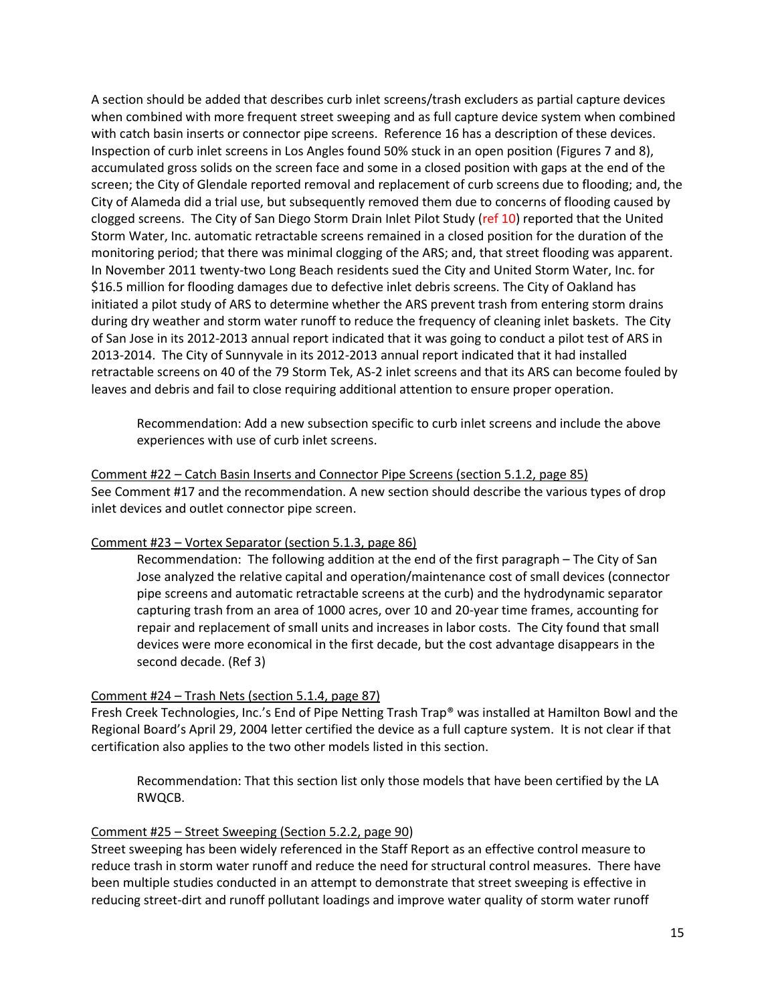A section should be added that describes curb inlet screens/trash excluders as partial capture devices when combined with more frequent street sweeping and as full capture device system when combined with catch basin inserts or connector pipe screens. Reference 16 has a description of these devices. Inspection of curb inlet screens in Los Angles found 50% stuck in an open position (Figures 7 and 8), accumulated gross solids on the screen face and some in a closed position with gaps at the end of the screen; the City of Glendale reported removal and replacement of curb screens due to flooding; and, the City of Alameda did a trial use, but subsequently removed them due to concerns of flooding caused by clogged screens. The City of San Diego Storm Drain Inlet Pilot Study (ref 10) reported that the United Storm Water, Inc. automatic retractable screens remained in a closed position for the duration of the monitoring period; that there was minimal clogging of the ARS; and, that street flooding was apparent. In November 2011 twenty-two Long Beach residents sued the City and United Storm Water, Inc. for \$16.5 million for flooding damages due to defective inlet debris screens. The City of Oakland has initiated a pilot study of ARS to determine whether the ARS prevent trash from entering storm drains during dry weather and storm water runoff to reduce the frequency of cleaning inlet baskets. The City of San Jose in its 2012-2013 annual report indicated that it was going to conduct a pilot test of ARS in 2013-2014. The City of Sunnyvale in its 2012-2013 annual report indicated that it had installed retractable screens on 40 of the 79 Storm Tek, AS-2 inlet screens and that its ARS can become fouled by leaves and debris and fail to close requiring additional attention to ensure proper operation.

Recommendation: Add a new subsection specific to curb inlet screens and include the above experiences with use of curb inlet screens.

Comment #22 – Catch Basin Inserts and Connector Pipe Screens (section 5.1.2, page 85) See Comment #17 and the recommendation. A new section should describe the various types of drop inlet devices and outlet connector pipe screen.

#### Comment #23 – Vortex Separator (section 5.1.3, page 86)

Recommendation: The following addition at the end of the first paragraph – The City of San Jose analyzed the relative capital and operation/maintenance cost of small devices (connector pipe screens and automatic retractable screens at the curb) and the hydrodynamic separator capturing trash from an area of 1000 acres, over 10 and 20-year time frames, accounting for repair and replacement of small units and increases in labor costs. The City found that small devices were more economical in the first decade, but the cost advantage disappears in the second decade. (Ref 3)

#### Comment #24 – Trash Nets (section 5.1.4, page 87)

Fresh Creek Technologies, Inc.'s End of Pipe Netting Trash Trap® was installed at Hamilton Bowl and the Regional Board's April 29, 2004 letter certified the device as a full capture system. It is not clear if that certification also applies to the two other models listed in this section.

Recommendation: That this section list only those models that have been certified by the LA RWQCB.

#### Comment #25 – Street Sweeping (Section 5.2.2, page 90)

Street sweeping has been widely referenced in the Staff Report as an effective control measure to reduce trash in storm water runoff and reduce the need for structural control measures. There have been multiple studies conducted in an attempt to demonstrate that street sweeping is effective in reducing street-dirt and runoff pollutant loadings and improve water quality of storm water runoff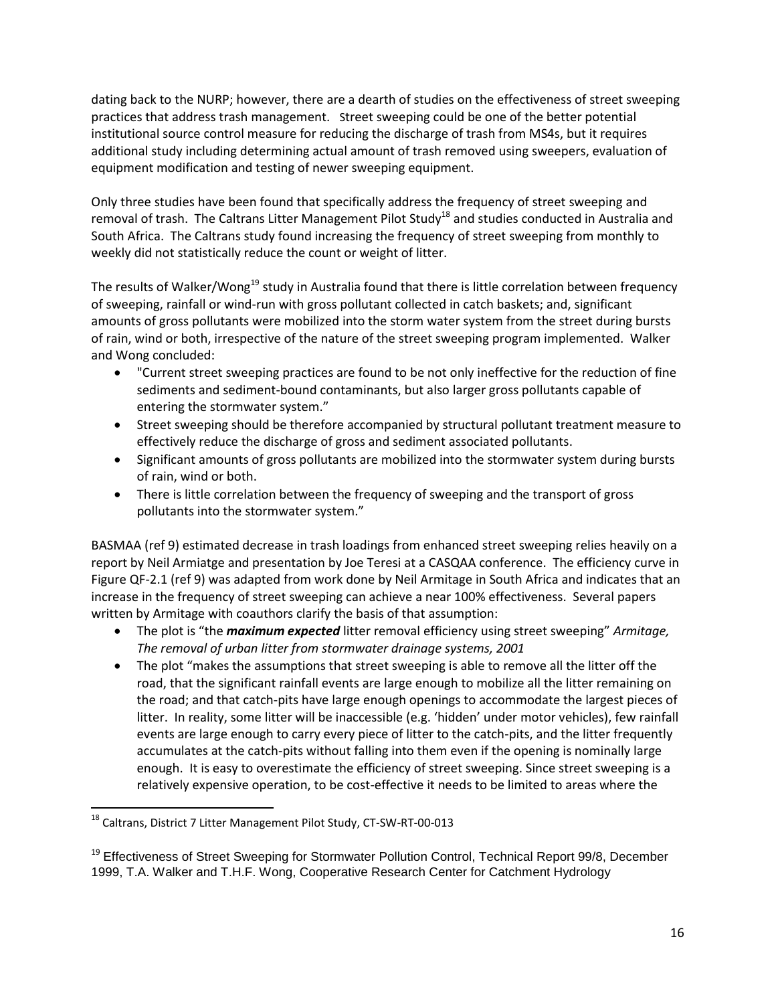dating back to the NURP; however, there are a dearth of studies on the effectiveness of street sweeping practices that address trash management. Street sweeping could be one of the better potential institutional source control measure for reducing the discharge of trash from MS4s, but it requires additional study including determining actual amount of trash removed using sweepers, evaluation of equipment modification and testing of newer sweeping equipment.

Only three studies have been found that specifically address the frequency of street sweeping and removal of trash. The Caltrans Litter Management Pilot Study<sup>18</sup> and studies conducted in Australia and South Africa. The Caltrans study found increasing the frequency of street sweeping from monthly to weekly did not statistically reduce the count or weight of litter.

The results of Walker/Wong<sup>19</sup> study in Australia found that there is little correlation between frequency of sweeping, rainfall or wind-run with gross pollutant collected in catch baskets; and, significant amounts of gross pollutants were mobilized into the storm water system from the street during bursts of rain, wind or both, irrespective of the nature of the street sweeping program implemented. Walker and Wong concluded:

- "Current street sweeping practices are found to be not only ineffective for the reduction of fine sediments and sediment-bound contaminants, but also larger gross pollutants capable of entering the stormwater system."
- Street sweeping should be therefore accompanied by structural pollutant treatment measure to effectively reduce the discharge of gross and sediment associated pollutants.
- Significant amounts of gross pollutants are mobilized into the stormwater system during bursts of rain, wind or both.
- There is little correlation between the frequency of sweeping and the transport of gross pollutants into the stormwater system."

BASMAA (ref 9) estimated decrease in trash loadings from enhanced street sweeping relies heavily on a report by Neil Armiatge and presentation by Joe Teresi at a CASQAA conference. The efficiency curve in Figure QF-2.1 (ref 9) was adapted from work done by Neil Armitage in South Africa and indicates that an increase in the frequency of street sweeping can achieve a near 100% effectiveness. Several papers written by Armitage with coauthors clarify the basis of that assumption:

- The plot is "the *maximum expected* litter removal efficiency using street sweeping" *Armitage, The removal of urban litter from stormwater drainage systems, 2001*
- The plot "makes the assumptions that street sweeping is able to remove all the litter off the road, that the significant rainfall events are large enough to mobilize all the litter remaining on the road; and that catch-pits have large enough openings to accommodate the largest pieces of litter. In reality, some litter will be inaccessible (e.g. 'hidden' under motor vehicles), few rainfall events are large enough to carry every piece of litter to the catch-pits, and the litter frequently accumulates at the catch-pits without falling into them even if the opening is nominally large enough. It is easy to overestimate the efficiency of street sweeping. Since street sweeping is a relatively expensive operation, to be cost-effective it needs to be limited to areas where the

 $\overline{a}$ 

<sup>&</sup>lt;sup>18</sup> Caltrans, District 7 Litter Management Pilot Study, CT-SW-RT-00-013

<sup>&</sup>lt;sup>19</sup> Effectiveness of Street Sweeping for Stormwater Pollution Control, Technical Report 99/8, December 1999, T.A. Walker and T.H.F. Wong, Cooperative Research Center for Catchment Hydrology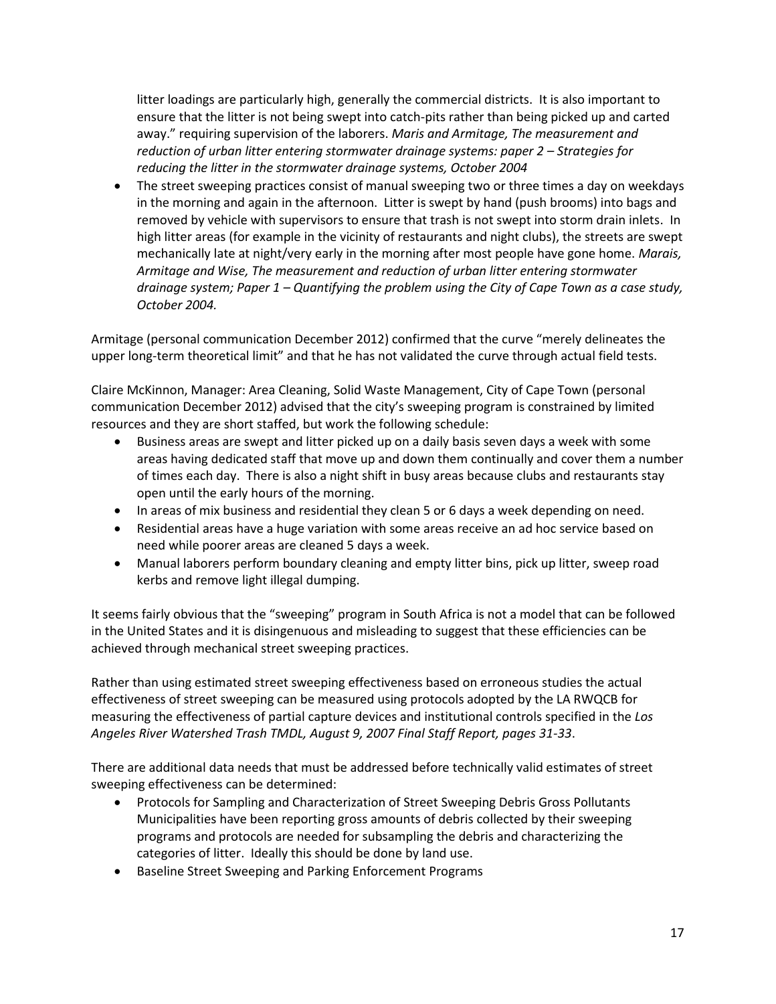litter loadings are particularly high, generally the commercial districts. It is also important to ensure that the litter is not being swept into catch-pits rather than being picked up and carted away." requiring supervision of the laborers. *Maris and Armitage, The measurement and reduction of urban litter entering stormwater drainage systems: paper 2 – Strategies for reducing the litter in the stormwater drainage systems, October 2004*

 The street sweeping practices consist of manual sweeping two or three times a day on weekdays in the morning and again in the afternoon. Litter is swept by hand (push brooms) into bags and removed by vehicle with supervisors to ensure that trash is not swept into storm drain inlets. In high litter areas (for example in the vicinity of restaurants and night clubs), the streets are swept mechanically late at night/very early in the morning after most people have gone home. *Marais, Armitage and Wise, The measurement and reduction of urban litter entering stormwater drainage system; Paper 1 – Quantifying the problem using the City of Cape Town as a case study, October 2004.*

Armitage (personal communication December 2012) confirmed that the curve "merely delineates the upper long-term theoretical limit" and that he has not validated the curve through actual field tests.

Claire McKinnon, Manager: Area Cleaning, Solid Waste Management, City of Cape Town (personal communication December 2012) advised that the city's sweeping program is constrained by limited resources and they are short staffed, but work the following schedule:

- Business areas are swept and litter picked up on a daily basis seven days a week with some areas having dedicated staff that move up and down them continually and cover them a number of times each day. There is also a night shift in busy areas because clubs and restaurants stay open until the early hours of the morning.
- In areas of mix business and residential they clean 5 or 6 days a week depending on need.
- Residential areas have a huge variation with some areas receive an ad hoc service based on need while poorer areas are cleaned 5 days a week.
- Manual laborers perform boundary cleaning and empty litter bins, pick up litter, sweep road kerbs and remove light illegal dumping.

It seems fairly obvious that the "sweeping" program in South Africa is not a model that can be followed in the United States and it is disingenuous and misleading to suggest that these efficiencies can be achieved through mechanical street sweeping practices.

Rather than using estimated street sweeping effectiveness based on erroneous studies the actual effectiveness of street sweeping can be measured using protocols adopted by the LA RWQCB for measuring the effectiveness of partial capture devices and institutional controls specified in the *Los Angeles River Watershed Trash TMDL, August 9, 2007 Final Staff Report, pages 31-33*.

There are additional data needs that must be addressed before technically valid estimates of street sweeping effectiveness can be determined:

- Protocols for Sampling and Characterization of Street Sweeping Debris Gross Pollutants Municipalities have been reporting gross amounts of debris collected by their sweeping programs and protocols are needed for subsampling the debris and characterizing the categories of litter. Ideally this should be done by land use.
- Baseline Street Sweeping and Parking Enforcement Programs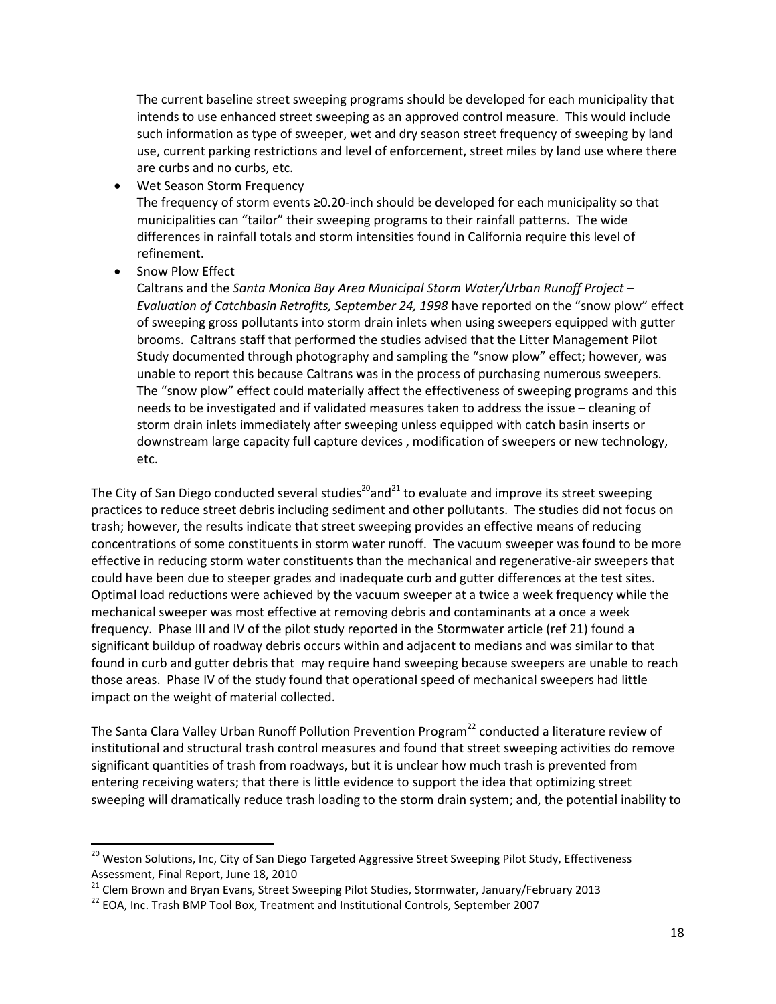The current baseline street sweeping programs should be developed for each municipality that intends to use enhanced street sweeping as an approved control measure. This would include such information as type of sweeper, wet and dry season street frequency of sweeping by land use, current parking restrictions and level of enforcement, street miles by land use where there are curbs and no curbs, etc.

Wet Season Storm Frequency

The frequency of storm events ≥0.20-inch should be developed for each municipality so that municipalities can "tailor" their sweeping programs to their rainfall patterns. The wide differences in rainfall totals and storm intensities found in California require this level of refinement.

Snow Plow Effect

 $\overline{a}$ 

Caltrans and the *Santa Monica Bay Area Municipal Storm Water/Urban Runoff Project – Evaluation of Catchbasin Retrofits, September 24, 1998* have reported on the "snow plow" effect of sweeping gross pollutants into storm drain inlets when using sweepers equipped with gutter brooms. Caltrans staff that performed the studies advised that the Litter Management Pilot Study documented through photography and sampling the "snow plow" effect; however, was unable to report this because Caltrans was in the process of purchasing numerous sweepers. The "snow plow" effect could materially affect the effectiveness of sweeping programs and this needs to be investigated and if validated measures taken to address the issue – cleaning of storm drain inlets immediately after sweeping unless equipped with catch basin inserts or downstream large capacity full capture devices , modification of sweepers or new technology, etc.

The City of San Diego conducted several studies<sup>20</sup> and<sup>21</sup> to evaluate and improve its street sweeping practices to reduce street debris including sediment and other pollutants. The studies did not focus on trash; however, the results indicate that street sweeping provides an effective means of reducing concentrations of some constituents in storm water runoff. The vacuum sweeper was found to be more effective in reducing storm water constituents than the mechanical and regenerative-air sweepers that could have been due to steeper grades and inadequate curb and gutter differences at the test sites. Optimal load reductions were achieved by the vacuum sweeper at a twice a week frequency while the mechanical sweeper was most effective at removing debris and contaminants at a once a week frequency. Phase III and IV of the pilot study reported in the Stormwater article (ref 21) found a significant buildup of roadway debris occurs within and adjacent to medians and was similar to that found in curb and gutter debris that may require hand sweeping because sweepers are unable to reach those areas. Phase IV of the study found that operational speed of mechanical sweepers had little impact on the weight of material collected.

The Santa Clara Valley Urban Runoff Pollution Prevention Program<sup>22</sup> conducted a literature review of institutional and structural trash control measures and found that street sweeping activities do remove significant quantities of trash from roadways, but it is unclear how much trash is prevented from entering receiving waters; that there is little evidence to support the idea that optimizing street sweeping will dramatically reduce trash loading to the storm drain system; and, the potential inability to

<sup>&</sup>lt;sup>20</sup> Weston Solutions, Inc, City of San Diego Targeted Aggressive Street Sweeping Pilot Study, Effectiveness Assessment, Final Report, June 18, 2010

<sup>&</sup>lt;sup>21</sup> Clem Brown and Bryan Evans, Street Sweeping Pilot Studies, Stormwater, January/February 2013

<sup>&</sup>lt;sup>22</sup> EOA. Inc. Trash BMP Tool Box, Treatment and Institutional Controls, September 2007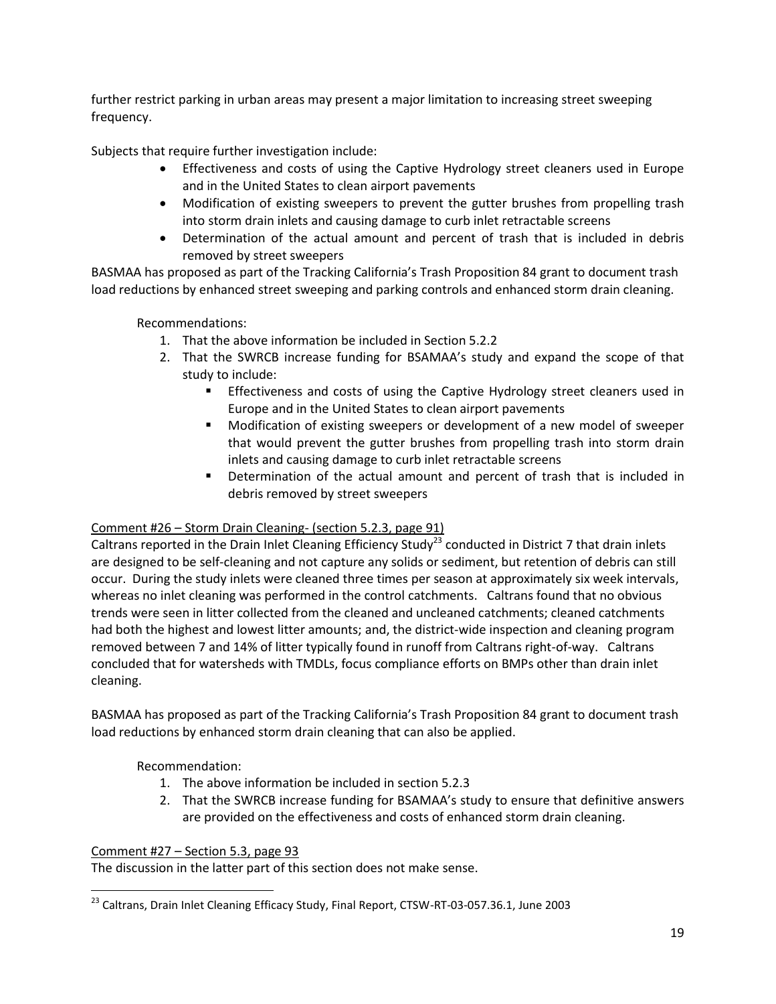further restrict parking in urban areas may present a major limitation to increasing street sweeping frequency.

Subjects that require further investigation include:

- Effectiveness and costs of using the Captive Hydrology street cleaners used in Europe and in the United States to clean airport pavements
- Modification of existing sweepers to prevent the gutter brushes from propelling trash into storm drain inlets and causing damage to curb inlet retractable screens
- Determination of the actual amount and percent of trash that is included in debris removed by street sweepers

BASMAA has proposed as part of the Tracking California's Trash Proposition 84 grant to document trash load reductions by enhanced street sweeping and parking controls and enhanced storm drain cleaning.

Recommendations:

- 1. That the above information be included in Section 5.2.2
- 2. That the SWRCB increase funding for BSAMAA's study and expand the scope of that study to include:
	- Effectiveness and costs of using the Captive Hydrology street cleaners used in Europe and in the United States to clean airport pavements
	- Modification of existing sweepers or development of a new model of sweeper that would prevent the gutter brushes from propelling trash into storm drain inlets and causing damage to curb inlet retractable screens
	- Determination of the actual amount and percent of trash that is included in debris removed by street sweepers

# Comment #26 – Storm Drain Cleaning- (section 5.2.3, page 91)

Caltrans reported in the Drain Inlet Cleaning Efficiency Study<sup>23</sup> conducted in District 7 that drain inlets are designed to be self-cleaning and not capture any solids or sediment, but retention of debris can still occur. During the study inlets were cleaned three times per season at approximately six week intervals, whereas no inlet cleaning was performed in the control catchments. Caltrans found that no obvious trends were seen in litter collected from the cleaned and uncleaned catchments; cleaned catchments had both the highest and lowest litter amounts; and, the district-wide inspection and cleaning program removed between 7 and 14% of litter typically found in runoff from Caltrans right-of-way. Caltrans concluded that for watersheds with TMDLs, focus compliance efforts on BMPs other than drain inlet cleaning.

BASMAA has proposed as part of the Tracking California's Trash Proposition 84 grant to document trash load reductions by enhanced storm drain cleaning that can also be applied.

Recommendation:

- 1. The above information be included in section 5.2.3
- 2. That the SWRCB increase funding for BSAMAA's study to ensure that definitive answers are provided on the effectiveness and costs of enhanced storm drain cleaning.

# Comment #27 – Section 5.3, page 93

The discussion in the latter part of this section does not make sense.

 $\overline{\phantom{a}}$ <sup>23</sup> Caltrans, Drain Inlet Cleaning Efficacy Study, Final Report, CTSW-RT-03-057.36.1, June 2003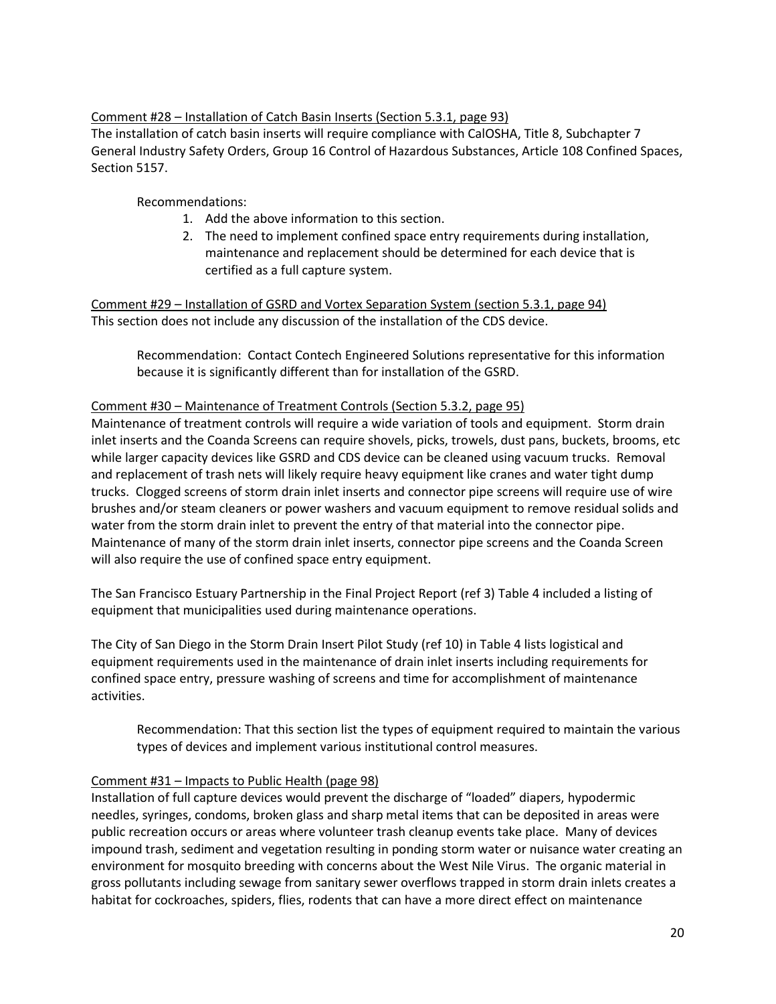### Comment #28 – Installation of Catch Basin Inserts (Section 5.3.1, page 93)

The installation of catch basin inserts will require compliance with CalOSHA, Title 8, Subchapter 7 General Industry Safety Orders, Group 16 Control of Hazardous Substances, Article 108 Confined Spaces, Section 5157.

Recommendations:

- 1. Add the above information to this section.
- 2. The need to implement confined space entry requirements during installation, maintenance and replacement should be determined for each device that is certified as a full capture system.

Comment #29 – Installation of GSRD and Vortex Separation System (section 5.3.1, page 94) This section does not include any discussion of the installation of the CDS device.

Recommendation: Contact Contech Engineered Solutions representative for this information because it is significantly different than for installation of the GSRD.

#### Comment #30 – Maintenance of Treatment Controls (Section 5.3.2, page 95)

Maintenance of treatment controls will require a wide variation of tools and equipment. Storm drain inlet inserts and the Coanda Screens can require shovels, picks, trowels, dust pans, buckets, brooms, etc while larger capacity devices like GSRD and CDS device can be cleaned using vacuum trucks. Removal and replacement of trash nets will likely require heavy equipment like cranes and water tight dump trucks. Clogged screens of storm drain inlet inserts and connector pipe screens will require use of wire brushes and/or steam cleaners or power washers and vacuum equipment to remove residual solids and water from the storm drain inlet to prevent the entry of that material into the connector pipe. Maintenance of many of the storm drain inlet inserts, connector pipe screens and the Coanda Screen will also require the use of confined space entry equipment.

The San Francisco Estuary Partnership in the Final Project Report (ref 3) Table 4 included a listing of equipment that municipalities used during maintenance operations.

The City of San Diego in the Storm Drain Insert Pilot Study (ref 10) in Table 4 lists logistical and equipment requirements used in the maintenance of drain inlet inserts including requirements for confined space entry, pressure washing of screens and time for accomplishment of maintenance activities.

Recommendation: That this section list the types of equipment required to maintain the various types of devices and implement various institutional control measures.

#### Comment #31 – Impacts to Public Health (page 98)

Installation of full capture devices would prevent the discharge of "loaded" diapers, hypodermic needles, syringes, condoms, broken glass and sharp metal items that can be deposited in areas were public recreation occurs or areas where volunteer trash cleanup events take place. Many of devices impound trash, sediment and vegetation resulting in ponding storm water or nuisance water creating an environment for mosquito breeding with concerns about the West Nile Virus. The organic material in gross pollutants including sewage from sanitary sewer overflows trapped in storm drain inlets creates a habitat for cockroaches, spiders, flies, rodents that can have a more direct effect on maintenance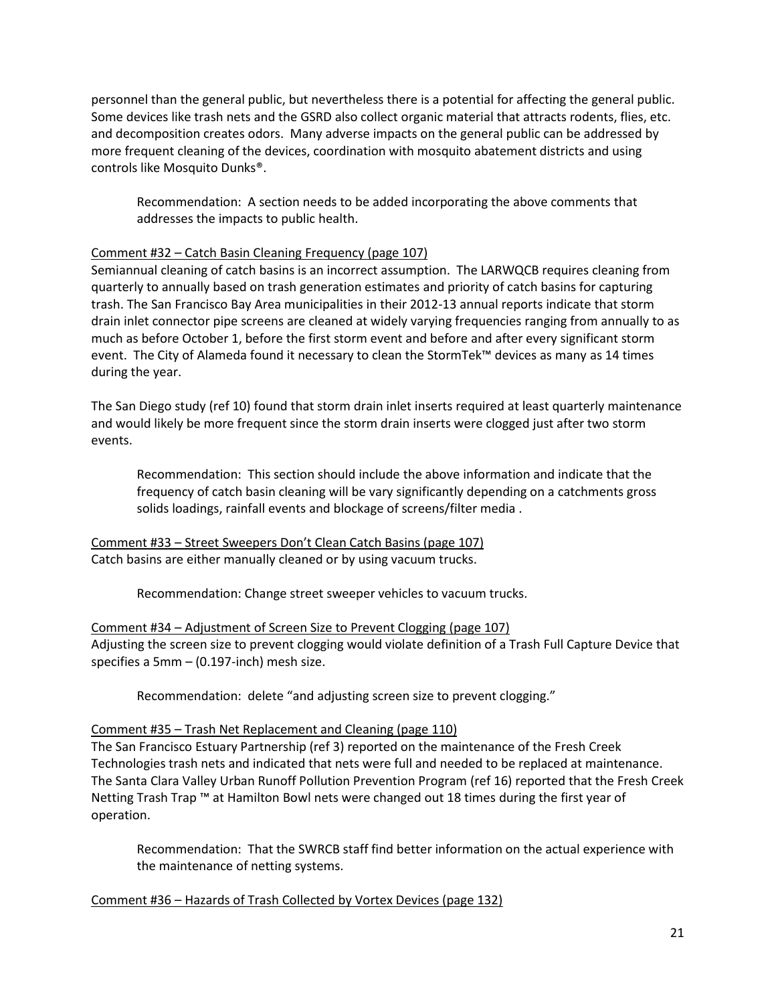personnel than the general public, but nevertheless there is a potential for affecting the general public. Some devices like trash nets and the GSRD also collect organic material that attracts rodents, flies, etc. and decomposition creates odors. Many adverse impacts on the general public can be addressed by more frequent cleaning of the devices, coordination with mosquito abatement districts and using controls like Mosquito Dunks®.

Recommendation: A section needs to be added incorporating the above comments that addresses the impacts to public health.

### Comment #32 – Catch Basin Cleaning Frequency (page 107)

Semiannual cleaning of catch basins is an incorrect assumption. The LARWQCB requires cleaning from quarterly to annually based on trash generation estimates and priority of catch basins for capturing trash. The San Francisco Bay Area municipalities in their 2012-13 annual reports indicate that storm drain inlet connector pipe screens are cleaned at widely varying frequencies ranging from annually to as much as before October 1, before the first storm event and before and after every significant storm event. The City of Alameda found it necessary to clean the StormTek™ devices as many as 14 times during the year.

The San Diego study (ref 10) found that storm drain inlet inserts required at least quarterly maintenance and would likely be more frequent since the storm drain inserts were clogged just after two storm events.

Recommendation: This section should include the above information and indicate that the frequency of catch basin cleaning will be vary significantly depending on a catchments gross solids loadings, rainfall events and blockage of screens/filter media .

Comment #33 – Street Sweepers Don't Clean Catch Basins (page 107) Catch basins are either manually cleaned or by using vacuum trucks.

Recommendation: Change street sweeper vehicles to vacuum trucks.

Comment #34 – Adjustment of Screen Size to Prevent Clogging (page 107) Adjusting the screen size to prevent clogging would violate definition of a Trash Full Capture Device that specifies a 5mm – (0.197-inch) mesh size.

Recommendation: delete "and adjusting screen size to prevent clogging."

#### Comment #35 – Trash Net Replacement and Cleaning (page 110)

The San Francisco Estuary Partnership (ref 3) reported on the maintenance of the Fresh Creek Technologies trash nets and indicated that nets were full and needed to be replaced at maintenance. The Santa Clara Valley Urban Runoff Pollution Prevention Program (ref 16) reported that the Fresh Creek Netting Trash Trap ™ at Hamilton Bowl nets were changed out 18 times during the first year of operation.

Recommendation: That the SWRCB staff find better information on the actual experience with the maintenance of netting systems.

Comment #36 – Hazards of Trash Collected by Vortex Devices (page 132)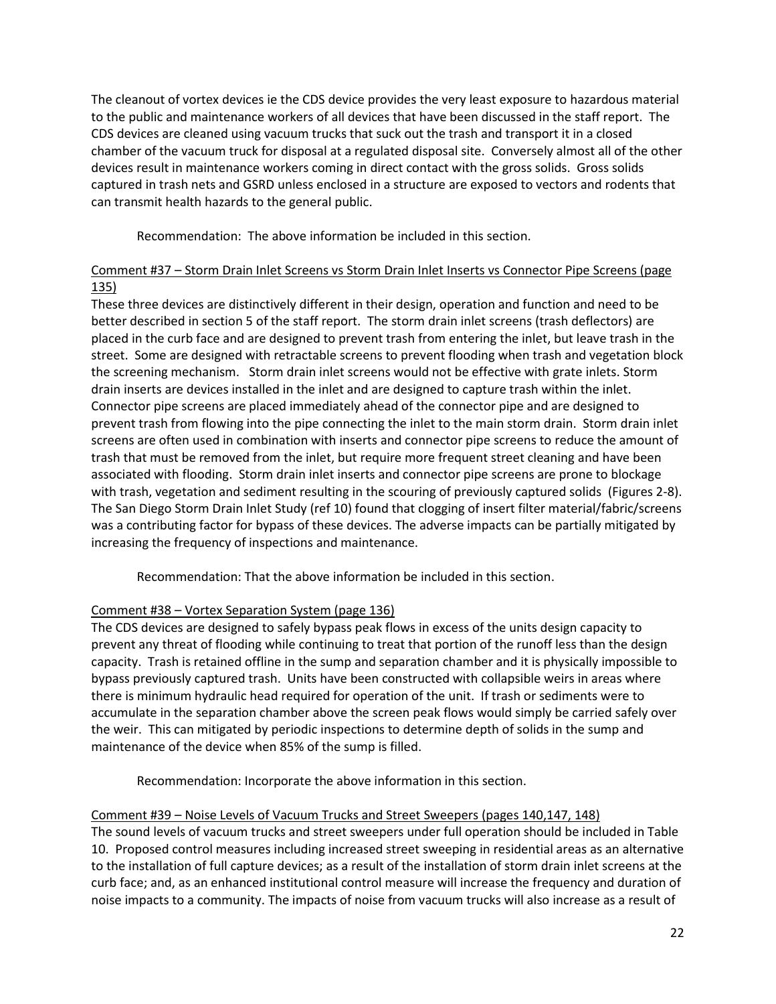The cleanout of vortex devices ie the CDS device provides the very least exposure to hazardous material to the public and maintenance workers of all devices that have been discussed in the staff report. The CDS devices are cleaned using vacuum trucks that suck out the trash and transport it in a closed chamber of the vacuum truck for disposal at a regulated disposal site. Conversely almost all of the other devices result in maintenance workers coming in direct contact with the gross solids. Gross solids captured in trash nets and GSRD unless enclosed in a structure are exposed to vectors and rodents that can transmit health hazards to the general public.

Recommendation: The above information be included in this section.

# Comment #37 – Storm Drain Inlet Screens vs Storm Drain Inlet Inserts vs Connector Pipe Screens (page 135)

These three devices are distinctively different in their design, operation and function and need to be better described in section 5 of the staff report. The storm drain inlet screens (trash deflectors) are placed in the curb face and are designed to prevent trash from entering the inlet, but leave trash in the street. Some are designed with retractable screens to prevent flooding when trash and vegetation block the screening mechanism. Storm drain inlet screens would not be effective with grate inlets. Storm drain inserts are devices installed in the inlet and are designed to capture trash within the inlet. Connector pipe screens are placed immediately ahead of the connector pipe and are designed to prevent trash from flowing into the pipe connecting the inlet to the main storm drain. Storm drain inlet screens are often used in combination with inserts and connector pipe screens to reduce the amount of trash that must be removed from the inlet, but require more frequent street cleaning and have been associated with flooding. Storm drain inlet inserts and connector pipe screens are prone to blockage with trash, vegetation and sediment resulting in the scouring of previously captured solids (Figures 2-8). The San Diego Storm Drain Inlet Study (ref 10) found that clogging of insert filter material/fabric/screens was a contributing factor for bypass of these devices. The adverse impacts can be partially mitigated by increasing the frequency of inspections and maintenance.

Recommendation: That the above information be included in this section.

# Comment #38 – Vortex Separation System (page 136)

The CDS devices are designed to safely bypass peak flows in excess of the units design capacity to prevent any threat of flooding while continuing to treat that portion of the runoff less than the design capacity. Trash is retained offline in the sump and separation chamber and it is physically impossible to bypass previously captured trash. Units have been constructed with collapsible weirs in areas where there is minimum hydraulic head required for operation of the unit. If trash or sediments were to accumulate in the separation chamber above the screen peak flows would simply be carried safely over the weir. This can mitigated by periodic inspections to determine depth of solids in the sump and maintenance of the device when 85% of the sump is filled.

Recommendation: Incorporate the above information in this section.

# Comment #39 – Noise Levels of Vacuum Trucks and Street Sweepers (pages 140,147, 148)

The sound levels of vacuum trucks and street sweepers under full operation should be included in Table 10. Proposed control measures including increased street sweeping in residential areas as an alternative to the installation of full capture devices; as a result of the installation of storm drain inlet screens at the curb face; and, as an enhanced institutional control measure will increase the frequency and duration of noise impacts to a community. The impacts of noise from vacuum trucks will also increase as a result of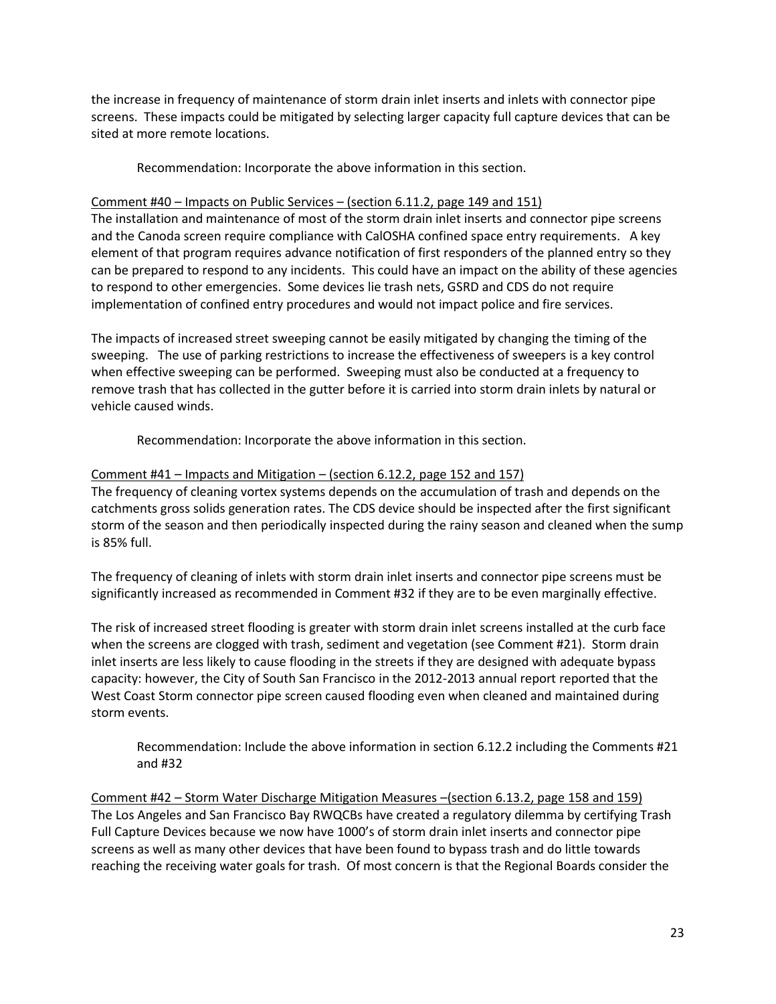the increase in frequency of maintenance of storm drain inlet inserts and inlets with connector pipe screens. These impacts could be mitigated by selecting larger capacity full capture devices that can be sited at more remote locations.

Recommendation: Incorporate the above information in this section.

### Comment #40 – Impacts on Public Services – (section 6.11.2, page 149 and 151)

The installation and maintenance of most of the storm drain inlet inserts and connector pipe screens and the Canoda screen require compliance with CalOSHA confined space entry requirements. A key element of that program requires advance notification of first responders of the planned entry so they can be prepared to respond to any incidents. This could have an impact on the ability of these agencies to respond to other emergencies. Some devices lie trash nets, GSRD and CDS do not require implementation of confined entry procedures and would not impact police and fire services.

The impacts of increased street sweeping cannot be easily mitigated by changing the timing of the sweeping. The use of parking restrictions to increase the effectiveness of sweepers is a key control when effective sweeping can be performed. Sweeping must also be conducted at a frequency to remove trash that has collected in the gutter before it is carried into storm drain inlets by natural or vehicle caused winds.

Recommendation: Incorporate the above information in this section.

### Comment #41 – Impacts and Mitigation – (section 6.12.2, page 152 and 157)

The frequency of cleaning vortex systems depends on the accumulation of trash and depends on the catchments gross solids generation rates. The CDS device should be inspected after the first significant storm of the season and then periodically inspected during the rainy season and cleaned when the sump is 85% full.

The frequency of cleaning of inlets with storm drain inlet inserts and connector pipe screens must be significantly increased as recommended in Comment #32 if they are to be even marginally effective.

The risk of increased street flooding is greater with storm drain inlet screens installed at the curb face when the screens are clogged with trash, sediment and vegetation (see Comment #21). Storm drain inlet inserts are less likely to cause flooding in the streets if they are designed with adequate bypass capacity: however, the City of South San Francisco in the 2012-2013 annual report reported that the West Coast Storm connector pipe screen caused flooding even when cleaned and maintained during storm events.

Recommendation: Include the above information in section 6.12.2 including the Comments #21 and #32

Comment #42 – Storm Water Discharge Mitigation Measures –(section 6.13.2, page 158 and 159) The Los Angeles and San Francisco Bay RWQCBs have created a regulatory dilemma by certifying Trash Full Capture Devices because we now have 1000's of storm drain inlet inserts and connector pipe screens as well as many other devices that have been found to bypass trash and do little towards reaching the receiving water goals for trash. Of most concern is that the Regional Boards consider the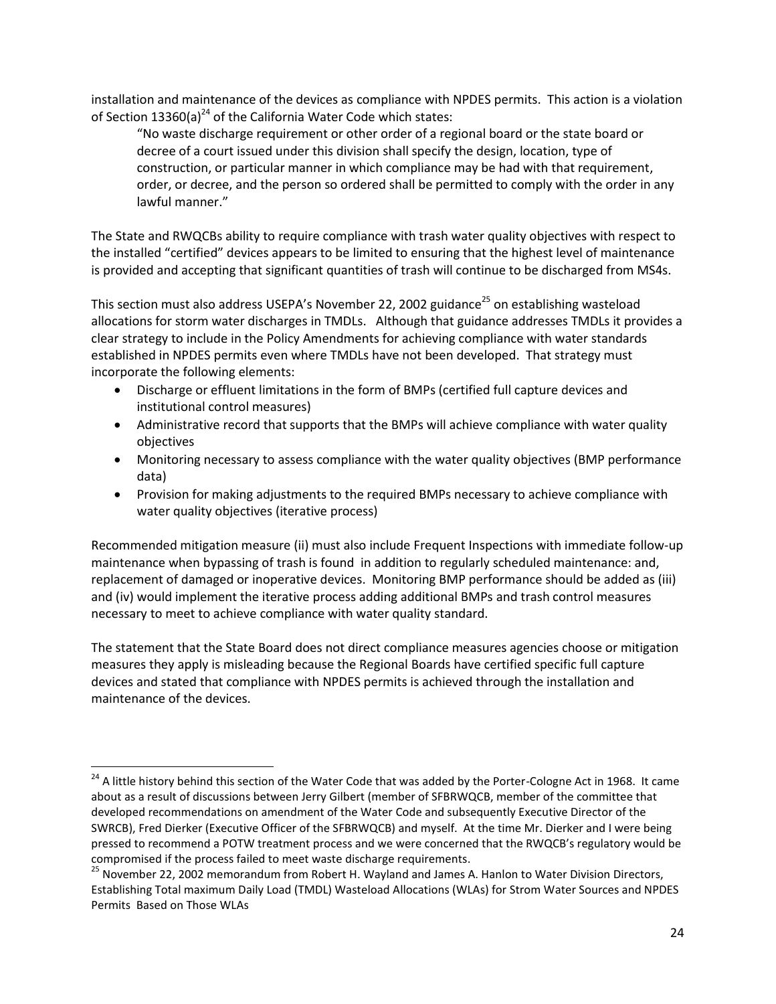installation and maintenance of the devices as compliance with NPDES permits. This action is a violation of Section 13360(a)<sup>24</sup> of the California Water Code which states:

"No waste discharge requirement or other order of a regional board or the state board or decree of a court issued under this division shall specify the design, location, type of construction, or particular manner in which compliance may be had with that requirement, order, or decree, and the person so ordered shall be permitted to comply with the order in any lawful manner."

The State and RWQCBs ability to require compliance with trash water quality objectives with respect to the installed "certified" devices appears to be limited to ensuring that the highest level of maintenance is provided and accepting that significant quantities of trash will continue to be discharged from MS4s.

This section must also address USEPA's November 22, 2002 guidance<sup>25</sup> on establishing wasteload allocations for storm water discharges in TMDLs. Although that guidance addresses TMDLs it provides a clear strategy to include in the Policy Amendments for achieving compliance with water standards established in NPDES permits even where TMDLs have not been developed. That strategy must incorporate the following elements:

- Discharge or effluent limitations in the form of BMPs (certified full capture devices and institutional control measures)
- Administrative record that supports that the BMPs will achieve compliance with water quality objectives
- Monitoring necessary to assess compliance with the water quality objectives (BMP performance data)
- Provision for making adjustments to the required BMPs necessary to achieve compliance with water quality objectives (iterative process)

Recommended mitigation measure (ii) must also include Frequent Inspections with immediate follow-up maintenance when bypassing of trash is found in addition to regularly scheduled maintenance: and, replacement of damaged or inoperative devices. Monitoring BMP performance should be added as (iii) and (iv) would implement the iterative process adding additional BMPs and trash control measures necessary to meet to achieve compliance with water quality standard.

The statement that the State Board does not direct compliance measures agencies choose or mitigation measures they apply is misleading because the Regional Boards have certified specific full capture devices and stated that compliance with NPDES permits is achieved through the installation and maintenance of the devices.

 $\overline{\phantom{a}}$ 

<sup>&</sup>lt;sup>24</sup> A little history behind this section of the Water Code that was added by the Porter-Cologne Act in 1968. It came about as a result of discussions between Jerry Gilbert (member of SFBRWQCB, member of the committee that developed recommendations on amendment of the Water Code and subsequently Executive Director of the SWRCB), Fred Dierker (Executive Officer of the SFBRWQCB) and myself. At the time Mr. Dierker and I were being pressed to recommend a POTW treatment process and we were concerned that the RWQCB's regulatory would be compromised if the process failed to meet waste discharge requirements.

<sup>&</sup>lt;sup>25</sup> November 22, 2002 memorandum from Robert H. Wayland and James A. Hanlon to Water Division Directors, Establishing Total maximum Daily Load (TMDL) Wasteload Allocations (WLAs) for Strom Water Sources and NPDES Permits Based on Those WLAs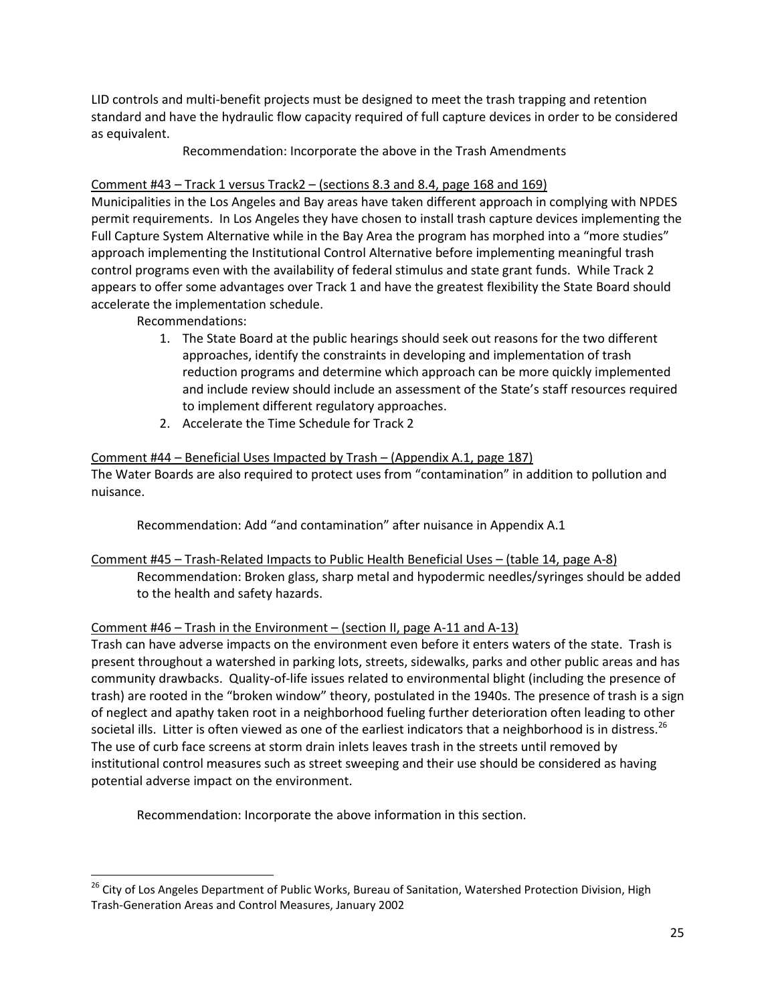LID controls and multi-benefit projects must be designed to meet the trash trapping and retention standard and have the hydraulic flow capacity required of full capture devices in order to be considered as equivalent.

Recommendation: Incorporate the above in the Trash Amendments

# Comment #43 – Track 1 versus Track2 – (sections 8.3 and 8.4, page 168 and 169)

Municipalities in the Los Angeles and Bay areas have taken different approach in complying with NPDES permit requirements. In Los Angeles they have chosen to install trash capture devices implementing the Full Capture System Alternative while in the Bay Area the program has morphed into a "more studies" approach implementing the Institutional Control Alternative before implementing meaningful trash control programs even with the availability of federal stimulus and state grant funds. While Track 2 appears to offer some advantages over Track 1 and have the greatest flexibility the State Board should accelerate the implementation schedule.

Recommendations:

l

- 1. The State Board at the public hearings should seek out reasons for the two different approaches, identify the constraints in developing and implementation of trash reduction programs and determine which approach can be more quickly implemented and include review should include an assessment of the State's staff resources required to implement different regulatory approaches.
- 2. Accelerate the Time Schedule for Track 2

### Comment #44 – Beneficial Uses Impacted by Trash – (Appendix A.1, page 187)

The Water Boards are also required to protect uses from "contamination" in addition to pollution and nuisance.

Recommendation: Add "and contamination" after nuisance in Appendix A.1

# Comment #45 – Trash-Related Impacts to Public Health Beneficial Uses – (table 14, page A-8) Recommendation: Broken glass, sharp metal and hypodermic needles/syringes should be added to the health and safety hazards.

# Comment #46 – Trash in the Environment – (section II, page A-11 and A-13)

Trash can have adverse impacts on the environment even before it enters waters of the state. Trash is present throughout a watershed in parking lots, streets, sidewalks, parks and other public areas and has community drawbacks. Quality-of-life issues related to environmental blight (including the presence of trash) are rooted in the "broken window" theory, postulated in the 1940s. The presence of trash is a sign of neglect and apathy taken root in a neighborhood fueling further deterioration often leading to other societal ills. Litter is often viewed as one of the earliest indicators that a neighborhood is in distress.<sup>26</sup> The use of curb face screens at storm drain inlets leaves trash in the streets until removed by institutional control measures such as street sweeping and their use should be considered as having potential adverse impact on the environment.

Recommendation: Incorporate the above information in this section.

<sup>&</sup>lt;sup>26</sup> City of Los Angeles Department of Public Works, Bureau of Sanitation, Watershed Protection Division, High Trash-Generation Areas and Control Measures, January 2002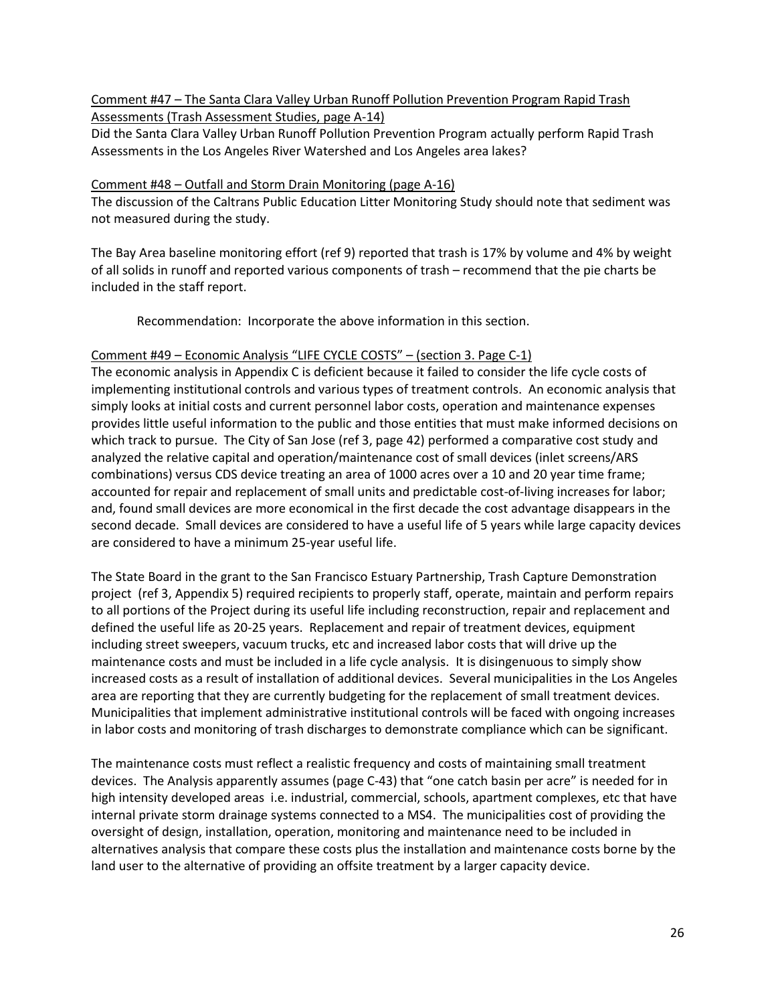Comment #47 – The Santa Clara Valley Urban Runoff Pollution Prevention Program Rapid Trash Assessments (Trash Assessment Studies, page A-14)

Did the Santa Clara Valley Urban Runoff Pollution Prevention Program actually perform Rapid Trash Assessments in the Los Angeles River Watershed and Los Angeles area lakes?

### Comment #48 – Outfall and Storm Drain Monitoring (page A-16)

The discussion of the Caltrans Public Education Litter Monitoring Study should note that sediment was not measured during the study.

The Bay Area baseline monitoring effort (ref 9) reported that trash is 17% by volume and 4% by weight of all solids in runoff and reported various components of trash – recommend that the pie charts be included in the staff report.

Recommendation: Incorporate the above information in this section.

### Comment #49 – Economic Analysis "LIFE CYCLE COSTS" – (section 3. Page C-1)

The economic analysis in Appendix C is deficient because it failed to consider the life cycle costs of implementing institutional controls and various types of treatment controls. An economic analysis that simply looks at initial costs and current personnel labor costs, operation and maintenance expenses provides little useful information to the public and those entities that must make informed decisions on which track to pursue. The City of San Jose (ref 3, page 42) performed a comparative cost study and analyzed the relative capital and operation/maintenance cost of small devices (inlet screens/ARS combinations) versus CDS device treating an area of 1000 acres over a 10 and 20 year time frame; accounted for repair and replacement of small units and predictable cost-of-living increases for labor; and, found small devices are more economical in the first decade the cost advantage disappears in the second decade. Small devices are considered to have a useful life of 5 years while large capacity devices are considered to have a minimum 25-year useful life.

The State Board in the grant to the San Francisco Estuary Partnership, Trash Capture Demonstration project (ref 3, Appendix 5) required recipients to properly staff, operate, maintain and perform repairs to all portions of the Project during its useful life including reconstruction, repair and replacement and defined the useful life as 20-25 years. Replacement and repair of treatment devices, equipment including street sweepers, vacuum trucks, etc and increased labor costs that will drive up the maintenance costs and must be included in a life cycle analysis. It is disingenuous to simply show increased costs as a result of installation of additional devices. Several municipalities in the Los Angeles area are reporting that they are currently budgeting for the replacement of small treatment devices. Municipalities that implement administrative institutional controls will be faced with ongoing increases in labor costs and monitoring of trash discharges to demonstrate compliance which can be significant.

The maintenance costs must reflect a realistic frequency and costs of maintaining small treatment devices. The Analysis apparently assumes (page C-43) that "one catch basin per acre" is needed for in high intensity developed areas i.e. industrial, commercial, schools, apartment complexes, etc that have internal private storm drainage systems connected to a MS4. The municipalities cost of providing the oversight of design, installation, operation, monitoring and maintenance need to be included in alternatives analysis that compare these costs plus the installation and maintenance costs borne by the land user to the alternative of providing an offsite treatment by a larger capacity device.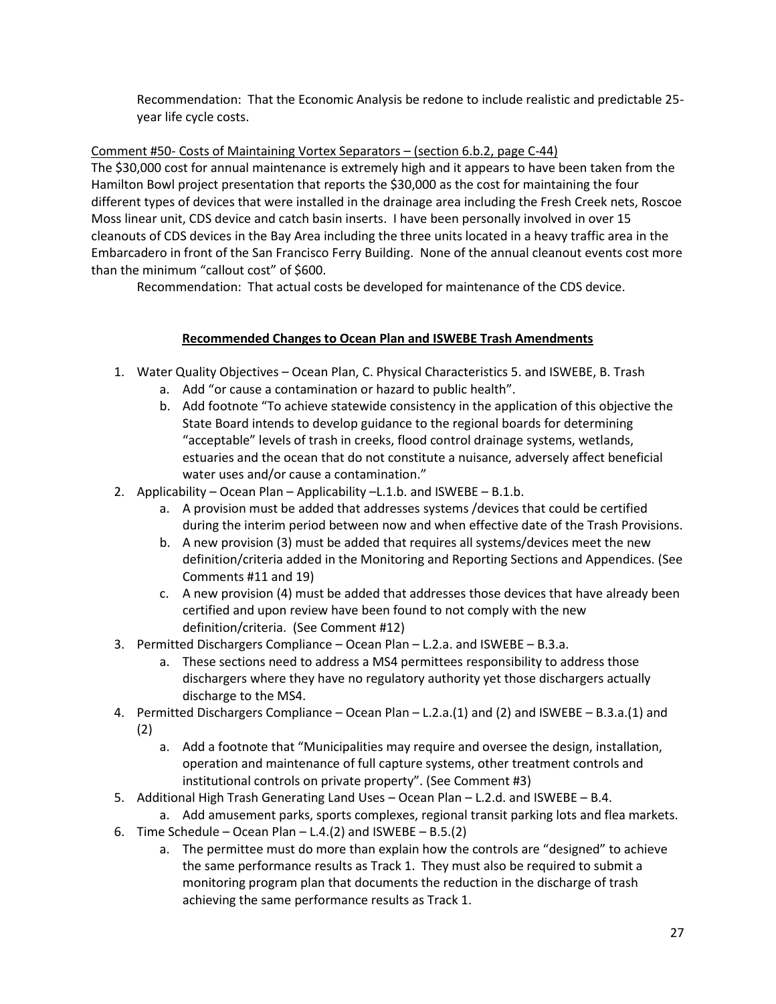Recommendation: That the Economic Analysis be redone to include realistic and predictable 25 year life cycle costs.

# Comment #50- Costs of Maintaining Vortex Separators – (section 6.b.2, page C-44)

The \$30,000 cost for annual maintenance is extremely high and it appears to have been taken from the Hamilton Bowl project presentation that reports the \$30,000 as the cost for maintaining the four different types of devices that were installed in the drainage area including the Fresh Creek nets, Roscoe Moss linear unit, CDS device and catch basin inserts. I have been personally involved in over 15 cleanouts of CDS devices in the Bay Area including the three units located in a heavy traffic area in the Embarcadero in front of the San Francisco Ferry Building. None of the annual cleanout events cost more than the minimum "callout cost" of \$600.

Recommendation: That actual costs be developed for maintenance of the CDS device.

# **Recommended Changes to Ocean Plan and ISWEBE Trash Amendments**

- 1. Water Quality Objectives Ocean Plan, C. Physical Characteristics 5. and ISWEBE, B. Trash
	- a. Add "or cause a contamination or hazard to public health".
	- b. Add footnote "To achieve statewide consistency in the application of this objective the State Board intends to develop guidance to the regional boards for determining "acceptable" levels of trash in creeks, flood control drainage systems, wetlands, estuaries and the ocean that do not constitute a nuisance, adversely affect beneficial water uses and/or cause a contamination."
- 2. Applicability Ocean Plan Applicability –L.1.b. and ISWEBE B.1.b.
	- a. A provision must be added that addresses systems /devices that could be certified during the interim period between now and when effective date of the Trash Provisions.
	- b. A new provision (3) must be added that requires all systems/devices meet the new definition/criteria added in the Monitoring and Reporting Sections and Appendices. (See Comments #11 and 19)
	- c. A new provision (4) must be added that addresses those devices that have already been certified and upon review have been found to not comply with the new definition/criteria. (See Comment #12)
- 3. Permitted Dischargers Compliance Ocean Plan L.2.a. and ISWEBE B.3.a.
	- a. These sections need to address a MS4 permittees responsibility to address those dischargers where they have no regulatory authority yet those dischargers actually discharge to the MS4.
- 4. Permitted Dischargers Compliance Ocean Plan L.2.a.(1) and (2) and ISWEBE B.3.a.(1) and (2)
	- - a. Add a footnote that "Municipalities may require and oversee the design, installation, operation and maintenance of full capture systems, other treatment controls and institutional controls on private property". (See Comment #3)
- 5. Additional High Trash Generating Land Uses Ocean Plan L.2.d. and ISWEBE B.4.
- a. Add amusement parks, sports complexes, regional transit parking lots and flea markets.
- 6. Time Schedule Ocean Plan L.4.(2) and ISWEBE B.5.(2)
	- a. The permittee must do more than explain how the controls are "designed" to achieve the same performance results as Track 1. They must also be required to submit a monitoring program plan that documents the reduction in the discharge of trash achieving the same performance results as Track 1.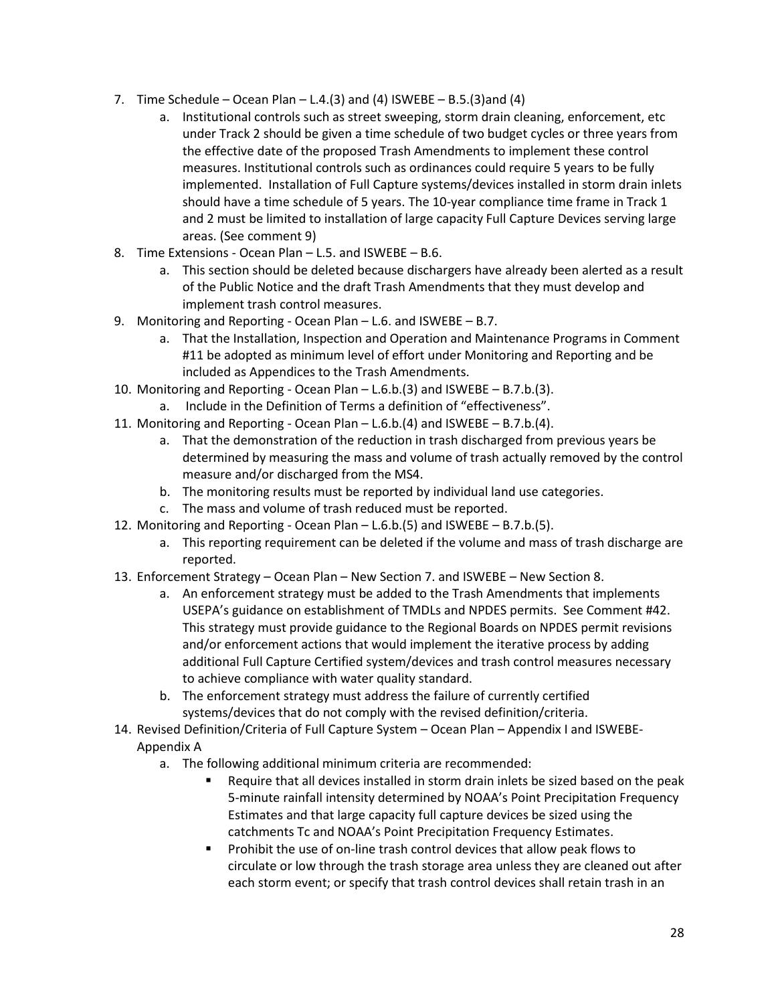- 7. Time Schedule Ocean Plan L.4.(3) and (4) ISWEBE B.5.(3) and (4)
	- a. Institutional controls such as street sweeping, storm drain cleaning, enforcement, etc under Track 2 should be given a time schedule of two budget cycles or three years from the effective date of the proposed Trash Amendments to implement these control measures. Institutional controls such as ordinances could require 5 years to be fully implemented. Installation of Full Capture systems/devices installed in storm drain inlets should have a time schedule of 5 years. The 10-year compliance time frame in Track 1 and 2 must be limited to installation of large capacity Full Capture Devices serving large areas. (See comment 9)
- 8. Time Extensions Ocean Plan L.5. and ISWEBE B.6.
	- a. This section should be deleted because dischargers have already been alerted as a result of the Public Notice and the draft Trash Amendments that they must develop and implement trash control measures.
- 9. Monitoring and Reporting Ocean Plan L.6. and ISWEBE B.7.
	- a. That the Installation, Inspection and Operation and Maintenance Programs in Comment #11 be adopted as minimum level of effort under Monitoring and Reporting and be included as Appendices to the Trash Amendments.
- 10. Monitoring and Reporting Ocean Plan L.6.b.(3) and ISWEBE B.7.b.(3).
	- a. Include in the Definition of Terms a definition of "effectiveness".
- 11. Monitoring and Reporting Ocean Plan L.6.b.(4) and ISWEBE B.7.b.(4).
	- a. That the demonstration of the reduction in trash discharged from previous years be determined by measuring the mass and volume of trash actually removed by the control measure and/or discharged from the MS4.
	- b. The monitoring results must be reported by individual land use categories.
	- c. The mass and volume of trash reduced must be reported.
- 12. Monitoring and Reporting Ocean Plan L.6.b.(5) and ISWEBE B.7.b.(5).
	- a. This reporting requirement can be deleted if the volume and mass of trash discharge are reported.
- 13. Enforcement Strategy Ocean Plan New Section 7. and ISWEBE New Section 8.
	- a. An enforcement strategy must be added to the Trash Amendments that implements USEPA's guidance on establishment of TMDLs and NPDES permits. See Comment #42. This strategy must provide guidance to the Regional Boards on NPDES permit revisions and/or enforcement actions that would implement the iterative process by adding additional Full Capture Certified system/devices and trash control measures necessary to achieve compliance with water quality standard.
	- b. The enforcement strategy must address the failure of currently certified systems/devices that do not comply with the revised definition/criteria.
- 14. Revised Definition/Criteria of Full Capture System Ocean Plan Appendix I and ISWEBE-Appendix A
	- a. The following additional minimum criteria are recommended:
		- Require that all devices installed in storm drain inlets be sized based on the peak 5-minute rainfall intensity determined by NOAA's Point Precipitation Frequency Estimates and that large capacity full capture devices be sized using the catchments Tc and NOAA's Point Precipitation Frequency Estimates.
		- Prohibit the use of on-line trash control devices that allow peak flows to circulate or low through the trash storage area unless they are cleaned out after each storm event; or specify that trash control devices shall retain trash in an